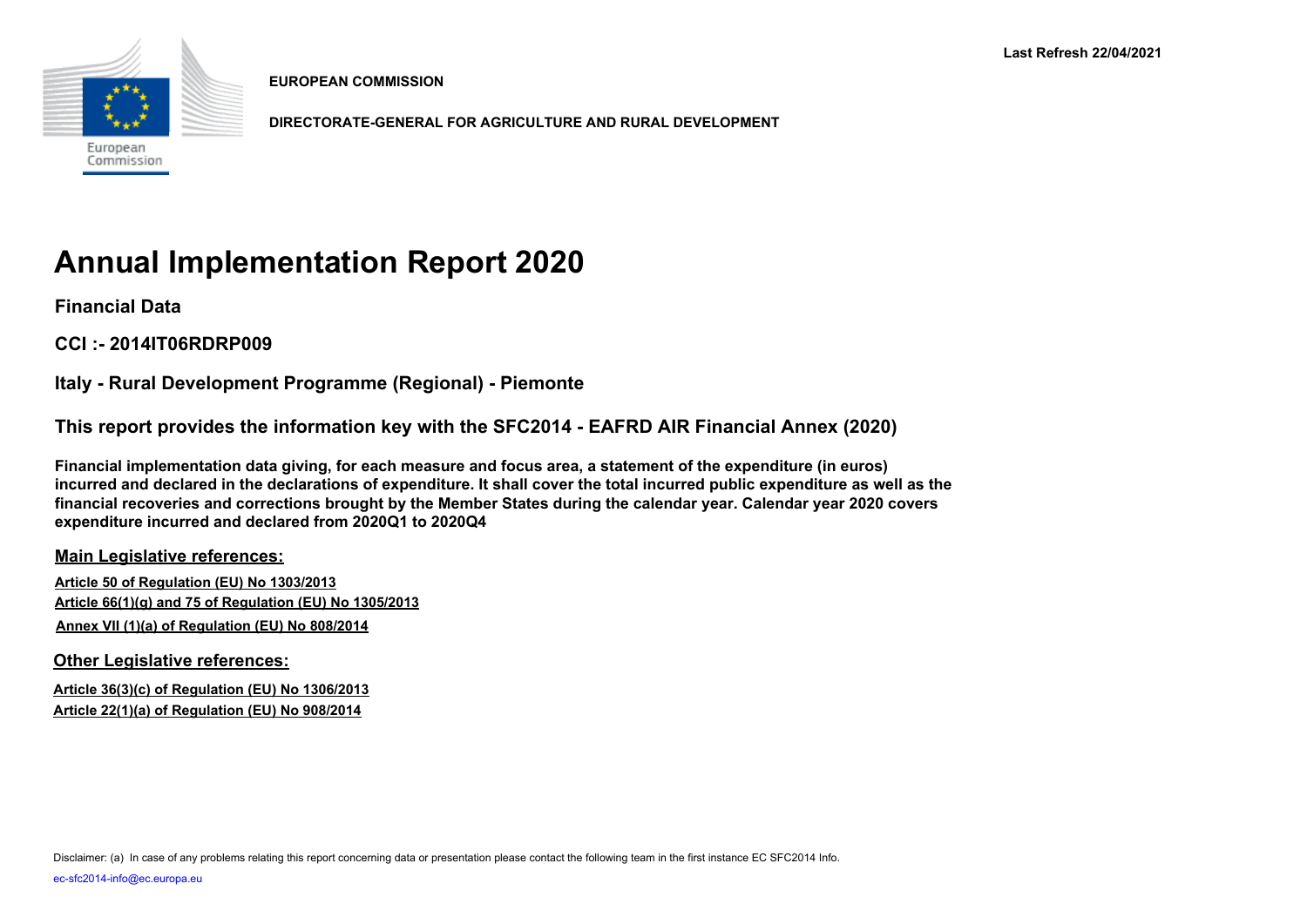

**EUROPEAN COMMISSION**

**DIRECTORATE-GENERAL FOR AGRICULTURE AND RURAL DEVELOPMENT**

# **Annual Implementation Report 2020**

**Financial Data**

**CCI :- 2014IT06RDRP009**

**Italy - Rural Development Programme (Regional) - Piemonte**

**This report provides the information key with the SFC2014 - EAFRD AIR Financial Annex (2020)** 

**Financial implementation data giving, for each measure and focus area, a statement of the expenditure (in euros) incurred and declared in the declarations of expenditure. It shall cover the total incurred public expenditure as well as the financial recoveries and corrections brought by the Member States during the calendar year. Calendar year 2020 covers expenditure incurred and declared from 2020Q1 to 2020Q4**

**Main Legislative references:**

**Article 50 of Regulation (EU) No 1303/2013 Article 66(1)(g) and 75 of Regulation (EU) No 1305/2013 Annex VII (1)(a) of Regulation (EU) No 808/2014**

**Other Legislative references:**

**Article 36(3)(c) of Regulation (EU) No 1306/2013 Article 22(1)(a) of Regulation (EU) No 908/2014**

Disclaimer: (a) In case of any problems relating this report concerning data or presentation please contact the following team in the first instance EC SFC2014 Info.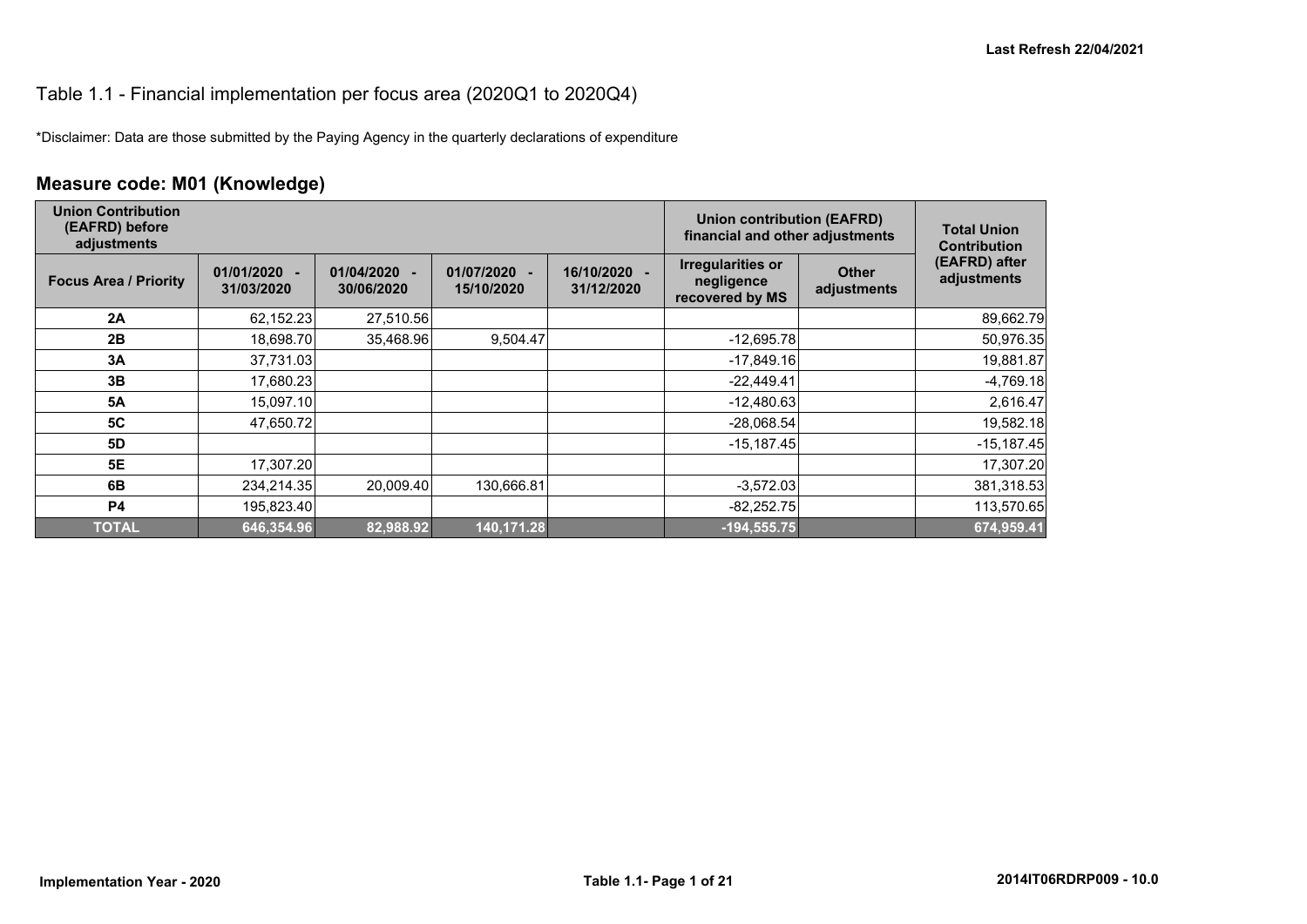#### Table 1.1 - Financial implementation per focus area (2020Q1 to 2020Q4)

\*Disclaimer: Data are those submitted by the Paying Agency in the quarterly declarations of expenditure

## **Measure code: M01 (Knowledge)**

| <b>Union Contribution</b><br>(EAFRD) before<br>adjustments |                              |                                                      |                                                      | <b>Union contribution (EAFRD)</b><br>financial and other adjustments | <b>Total Union</b><br><b>Contribution</b>                 |                             |                              |
|------------------------------------------------------------|------------------------------|------------------------------------------------------|------------------------------------------------------|----------------------------------------------------------------------|-----------------------------------------------------------|-----------------------------|------------------------------|
| <b>Focus Area / Priority</b>                               | $01/01/2020 -$<br>31/03/2020 | 01/04/2020<br>$\overline{\phantom{a}}$<br>30/06/2020 | 01/07/2020<br>$\overline{\phantom{a}}$<br>15/10/2020 | 16/10/2020 -<br>31/12/2020                                           | <b>Irregularities or</b><br>negligence<br>recovered by MS | <b>Other</b><br>adjustments | (EAFRD) after<br>adjustments |
| 2A                                                         | 62,152.23                    | 27,510.56                                            |                                                      |                                                                      |                                                           |                             | 89,662.79                    |
| 2B                                                         | 18,698.70                    | 35,468.96                                            | 9,504.47                                             |                                                                      | $-12,695.78$                                              |                             | 50,976.35                    |
| 3A                                                         | 37,731.03                    |                                                      |                                                      |                                                                      | $-17,849.16$                                              |                             | 19,881.87                    |
| 3B                                                         | 17,680.23                    |                                                      |                                                      |                                                                      | $-22,449.41$                                              |                             | $-4,769.18$                  |
| <b>5A</b>                                                  | 15,097.10                    |                                                      |                                                      |                                                                      | $-12,480.63$                                              |                             | 2,616.47                     |
| 5C                                                         | 47,650.72                    |                                                      |                                                      |                                                                      | $-28,068.54$                                              |                             | 19,582.18                    |
| 5D                                                         |                              |                                                      |                                                      |                                                                      | $-15,187.45$                                              |                             | $-15,187.45$                 |
| <b>5E</b>                                                  | 17,307.20                    |                                                      |                                                      |                                                                      |                                                           |                             | 17,307.20                    |
| 6B                                                         | 234,214.35                   | 20,009.40                                            | 130,666.81                                           |                                                                      | $-3,572.03$                                               |                             | 381,318.53                   |
| P4                                                         | 195,823.40                   |                                                      |                                                      |                                                                      | $-82,252.75$                                              |                             | 113,570.65                   |
| <b>TOTAL</b>                                               | 646,354.96                   | 82,988.92                                            | 140,171.28                                           |                                                                      | $-194,555.75$                                             |                             | 674,959.41                   |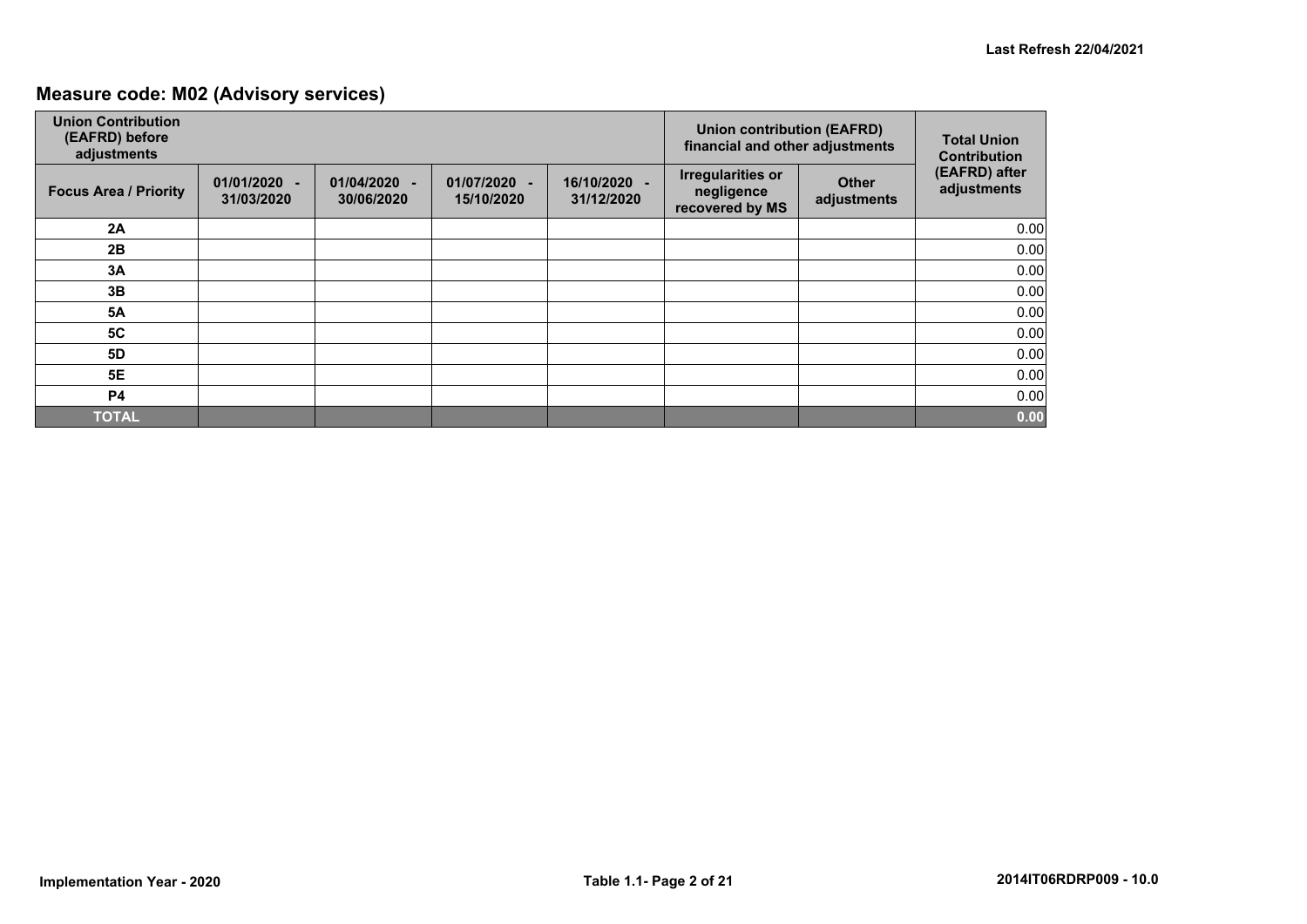## **Measure code: M02 (Advisory services)**

| <b>Union Contribution</b><br>(EAFRD) before<br>adjustments |                            |                                            |                            | <b>Union contribution (EAFRD)</b><br>financial and other adjustments | <b>Total Union</b><br><b>Contribution</b>                 |                             |                              |
|------------------------------------------------------------|----------------------------|--------------------------------------------|----------------------------|----------------------------------------------------------------------|-----------------------------------------------------------|-----------------------------|------------------------------|
| <b>Focus Area / Priority</b>                               | 01/01/2020 -<br>31/03/2020 | 01/04/2020<br>$\overline{a}$<br>30/06/2020 | 01/07/2020 -<br>15/10/2020 | 16/10/2020 -<br>31/12/2020                                           | <b>Irregularities or</b><br>negligence<br>recovered by MS | <b>Other</b><br>adjustments | (EAFRD) after<br>adjustments |
| 2A                                                         |                            |                                            |                            |                                                                      |                                                           |                             | 0.00                         |
| 2B                                                         |                            |                                            |                            |                                                                      |                                                           |                             | 0.00                         |
| 3A                                                         |                            |                                            |                            |                                                                      |                                                           |                             | 0.00                         |
| 3B                                                         |                            |                                            |                            |                                                                      |                                                           |                             | 0.00                         |
| <b>5A</b>                                                  |                            |                                            |                            |                                                                      |                                                           |                             | 0.00                         |
| <b>5C</b>                                                  |                            |                                            |                            |                                                                      |                                                           |                             | 0.00                         |
| 5D                                                         |                            |                                            |                            |                                                                      |                                                           |                             | 0.00                         |
| 5E                                                         |                            |                                            |                            |                                                                      |                                                           |                             | 0.00                         |
| <b>P4</b>                                                  |                            |                                            |                            |                                                                      |                                                           |                             | 0.00                         |
| <b>TOTAL</b>                                               |                            |                                            |                            |                                                                      |                                                           |                             | 0.00                         |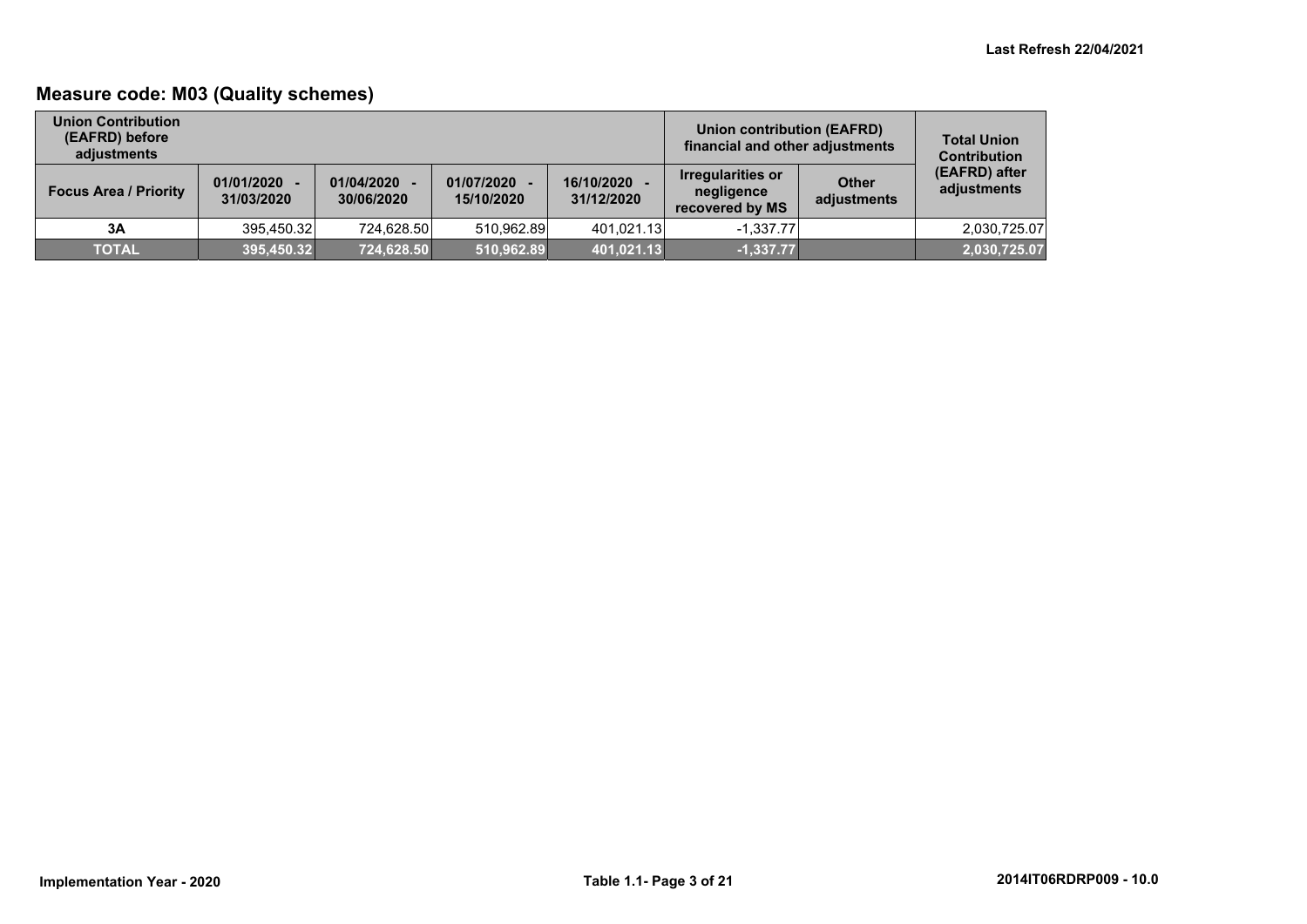## **Measure code: M03 (Quality schemes)**

| <b>Union Contribution</b><br>(EAFRD) before<br>adjustments |                              |                          |                            | Union contribution (EAFRD)<br>financial and other adjustments | <b>Total Union</b><br><b>Contribution</b>          |                             |                              |
|------------------------------------------------------------|------------------------------|--------------------------|----------------------------|---------------------------------------------------------------|----------------------------------------------------|-----------------------------|------------------------------|
| <b>Focus Area / Priority</b>                               | $01/01/2020 -$<br>31/03/2020 | 01/04/2020<br>30/06/2020 | 01/07/2020 -<br>15/10/2020 | 16/10/2020<br>31/12/2020                                      | Irregularities or<br>negligence<br>recovered by MS | <b>Other</b><br>adjustments | (EAFRD) after<br>adjustments |
| 3A                                                         | 395,450.32                   | 724,628.50               | 510.962.89                 | 401.021.13                                                    | $-1.337.77$                                        |                             | 2,030,725.07                 |
| <b>TOTAL</b>                                               | 395,450.32                   | 724,628.50               | 510,962.89                 | 401,021.13                                                    | $-1,337.77$                                        |                             | 2,030,725.07                 |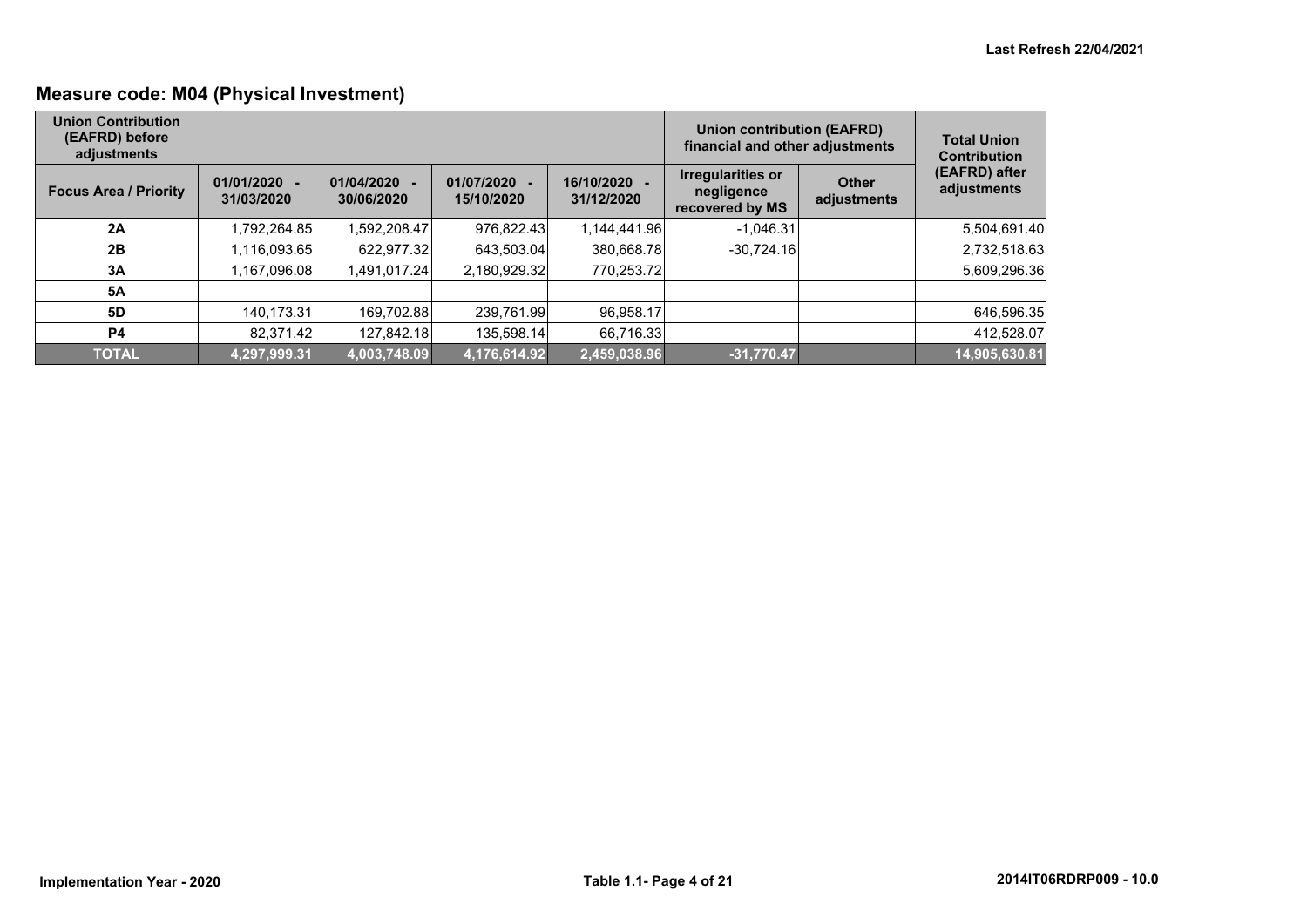## **Measure code: M04 (Physical Investment)**

| <b>Union Contribution</b><br>(EAFRD) before<br>adjustments |                              |                          |                          |                            | Union contribution (EAFRD)<br>financial and other adjustments |                             | <b>Total Union</b><br><b>Contribution</b> |
|------------------------------------------------------------|------------------------------|--------------------------|--------------------------|----------------------------|---------------------------------------------------------------|-----------------------------|-------------------------------------------|
| <b>Focus Area / Priority</b>                               | $01/01/2020 -$<br>31/03/2020 | 01/04/2020<br>30/06/2020 | 01/07/2020<br>15/10/2020 | 16/10/2020 -<br>31/12/2020 | Irregularities or<br>negligence<br>recovered by MS            | <b>Other</b><br>adjustments | (EAFRD) after<br>adjustments              |
| 2A                                                         | 1,792,264.85                 | 1.592.208.47             | 976.822.43               | 1.144.441.96               | $-1.046.31$                                                   |                             | 5,504,691.40                              |
| 2B                                                         | 1,116,093.65                 | 622.977.32               | 643.503.04               | 380,668.78                 | $-30,724.16$                                                  |                             | 2,732,518.63                              |
| 3A                                                         | 1,167,096.08                 | 1,491,017.24             | 2,180,929.32             | 770,253.72                 |                                                               |                             | 5,609,296.36                              |
| <b>5A</b>                                                  |                              |                          |                          |                            |                                                               |                             |                                           |
| 5D                                                         | 140,173.31                   | 169,702.88               | 239,761.99               | 96,958.17                  |                                                               |                             | 646,596.35                                |
| <b>P4</b>                                                  | 82.371.42                    | 127,842.18               | 135,598.14               | 66,716.33                  |                                                               |                             | 412,528.07                                |
| <b>TOTAL</b>                                               | 4,297,999.31                 | 4,003,748.09             | 4,176,614.92             | 2,459,038.96               | $-31,770.47$                                                  |                             | 14,905,630.81                             |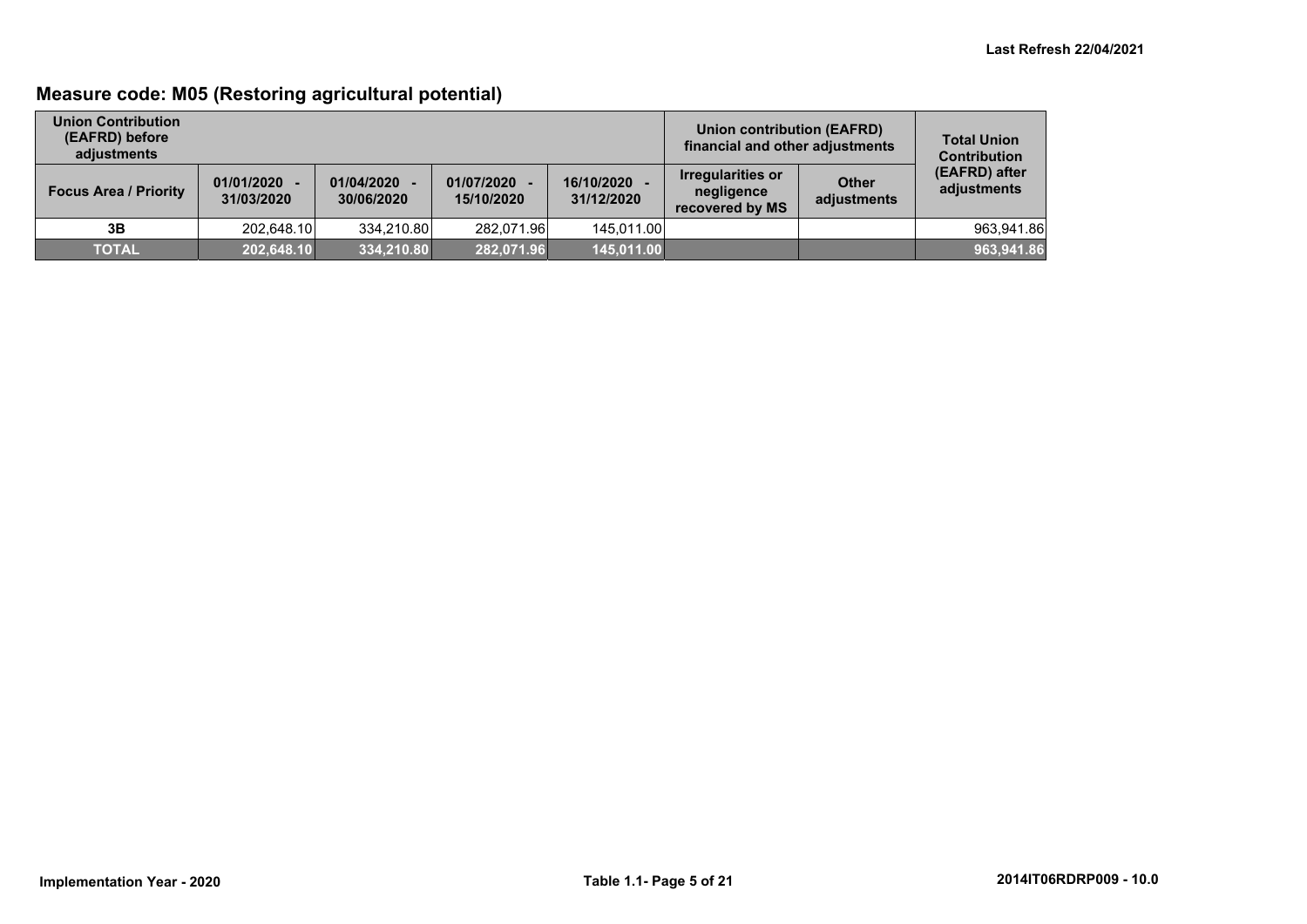## **Measure code: M05 (Restoring agricultural potential)**

| <b>Union Contribution</b><br>(EAFRD) before<br>adjustments |                              |                          |                            | Union contribution (EAFRD)<br>financial and other adjustments | <b>Total Union</b><br><b>Contribution</b>          |                             |                              |
|------------------------------------------------------------|------------------------------|--------------------------|----------------------------|---------------------------------------------------------------|----------------------------------------------------|-----------------------------|------------------------------|
| <b>Focus Area / Priority</b>                               | $01/01/2020 -$<br>31/03/2020 | 01/04/2020<br>30/06/2020 | 01/07/2020 -<br>15/10/2020 | 16/10/2020<br>31/12/2020                                      | Irregularities or<br>negligence<br>recovered by MS | <b>Other</b><br>adjustments | (EAFRD) after<br>adjustments |
| 3B                                                         | 202.648.10                   | 334.210.80               | 282.071.96                 | 145.011.00                                                    |                                                    |                             | 963,941.86                   |
| <b>TOTAL</b>                                               | 202,648.10                   | 334,210.80               | 282,071.96                 | 145,011.00                                                    |                                                    |                             | 963,941.86                   |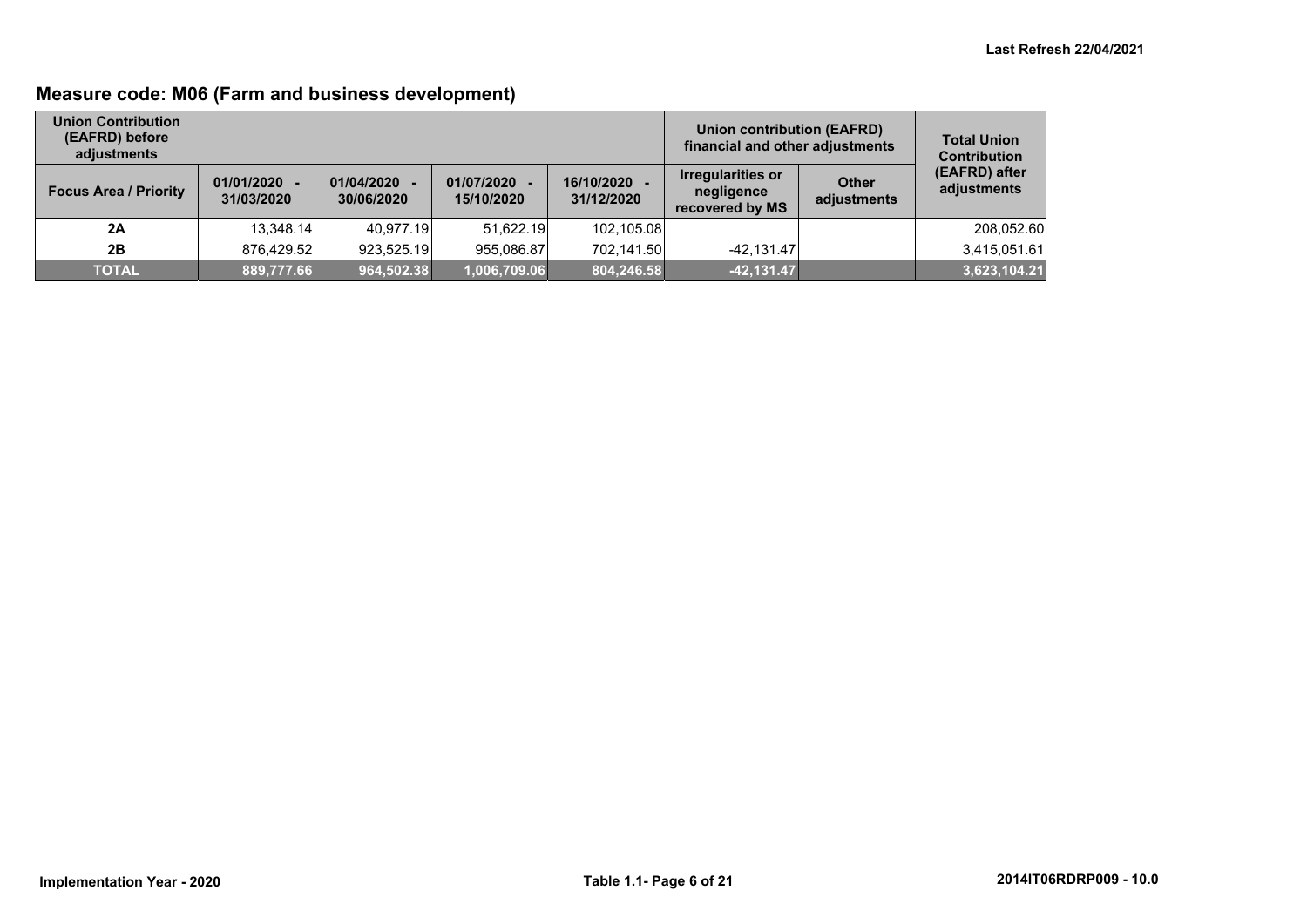## **Measure code: M06 (Farm and business development)**

| <b>Union Contribution</b><br>(EAFRD) before<br>adjustments |                              |                          |                            | Union contribution (EAFRD)<br>financial and other adjustments | <b>Total Union</b><br><b>Contribution</b>                 |                             |                              |
|------------------------------------------------------------|------------------------------|--------------------------|----------------------------|---------------------------------------------------------------|-----------------------------------------------------------|-----------------------------|------------------------------|
| <b>Focus Area / Priority</b>                               | $01/01/2020 -$<br>31/03/2020 | 01/04/2020<br>30/06/2020 | 01/07/2020 -<br>15/10/2020 | 16/10/2020<br>31/12/2020                                      | <b>Irregularities or</b><br>negligence<br>recovered by MS | <b>Other</b><br>adjustments | (EAFRD) after<br>adjustments |
| 2A                                                         | 13.348.14                    | 40.977.19                | 51.622.19                  | 102,105.08                                                    |                                                           |                             | 208,052.60                   |
| 2B                                                         | 876.429.52                   | 923.525.19               | 955.086.87                 | 702.141.50                                                    | $-42.131.47$                                              |                             | 3,415,051.61                 |
| <b>TOTAL</b>                                               | 889,777.66                   | 964,502.38               | 1,006,709.06               | 804,246.58                                                    | $-42,131.47$                                              |                             | 3,623,104.21                 |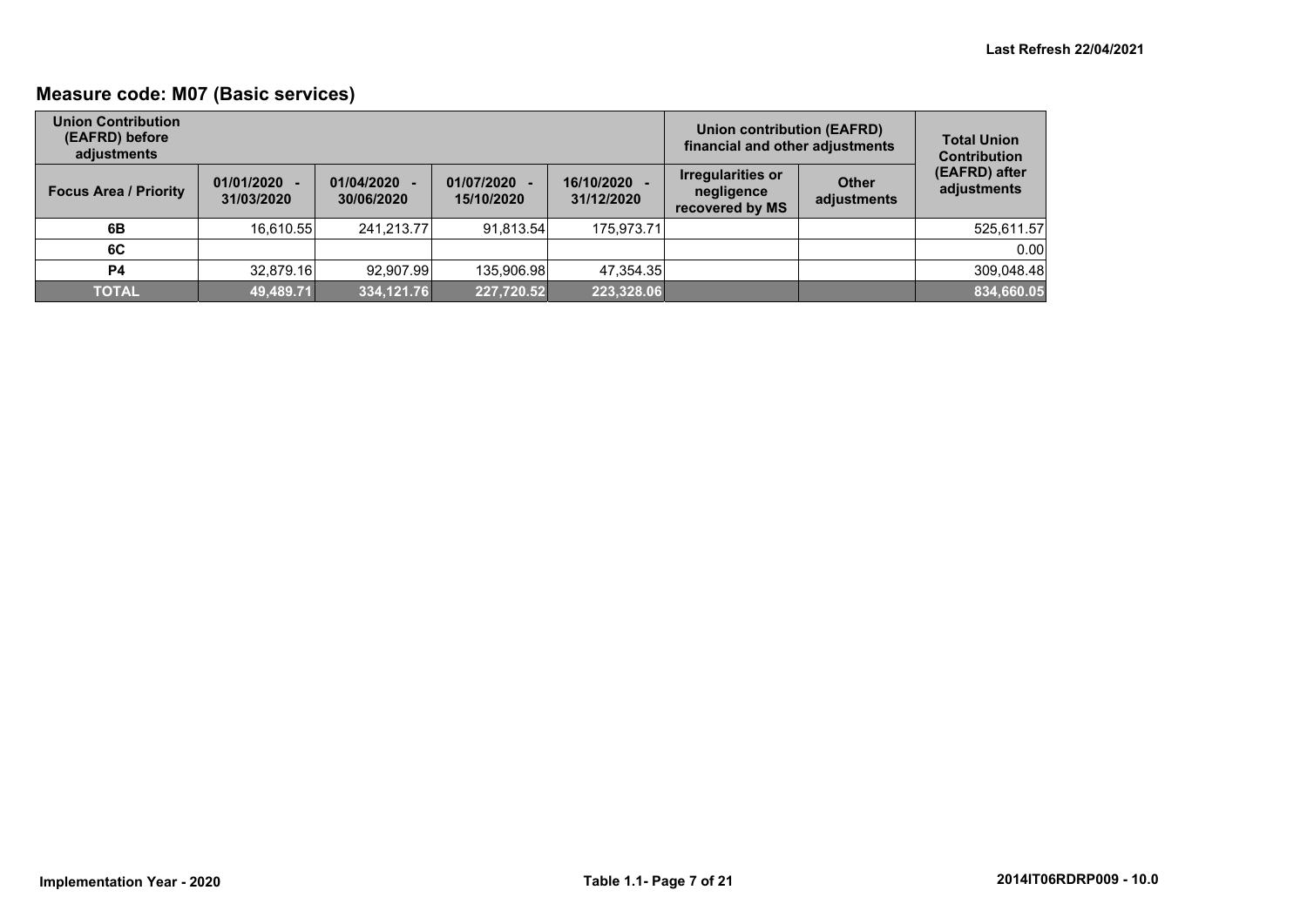## **Measure code: M07 (Basic services)**

| <b>Union Contribution</b><br>(EAFRD) before<br>adjustments |                              |                          |                            | <b>Union contribution (EAFRD)</b><br>financial and other adjustments | <b>Total Union</b><br><b>Contribution</b>                 |                             |                              |
|------------------------------------------------------------|------------------------------|--------------------------|----------------------------|----------------------------------------------------------------------|-----------------------------------------------------------|-----------------------------|------------------------------|
| <b>Focus Area / Priority</b>                               | $01/01/2020 -$<br>31/03/2020 | 01/04/2020<br>30/06/2020 | 01/07/2020 -<br>15/10/2020 | 16/10/2020<br>31/12/2020                                             | <b>Irregularities or</b><br>negligence<br>recovered by MS | <b>Other</b><br>adjustments | (EAFRD) after<br>adjustments |
| 6B                                                         | 16.610.55                    | 241.213.77               | 91.813.54                  | 175,973.71                                                           |                                                           |                             | 525,611.57                   |
| 6C                                                         |                              |                          |                            |                                                                      |                                                           |                             | 0.00                         |
| <b>P4</b>                                                  | 32,879.16                    | 92.907.99                | 135,906.98                 | 47,354.35                                                            |                                                           |                             | 309,048.48                   |
| <b>TOTAL</b>                                               | 49,489.71                    | 334,121.76               | 227,720.52                 | 223,328.06                                                           |                                                           |                             | 834,660.05                   |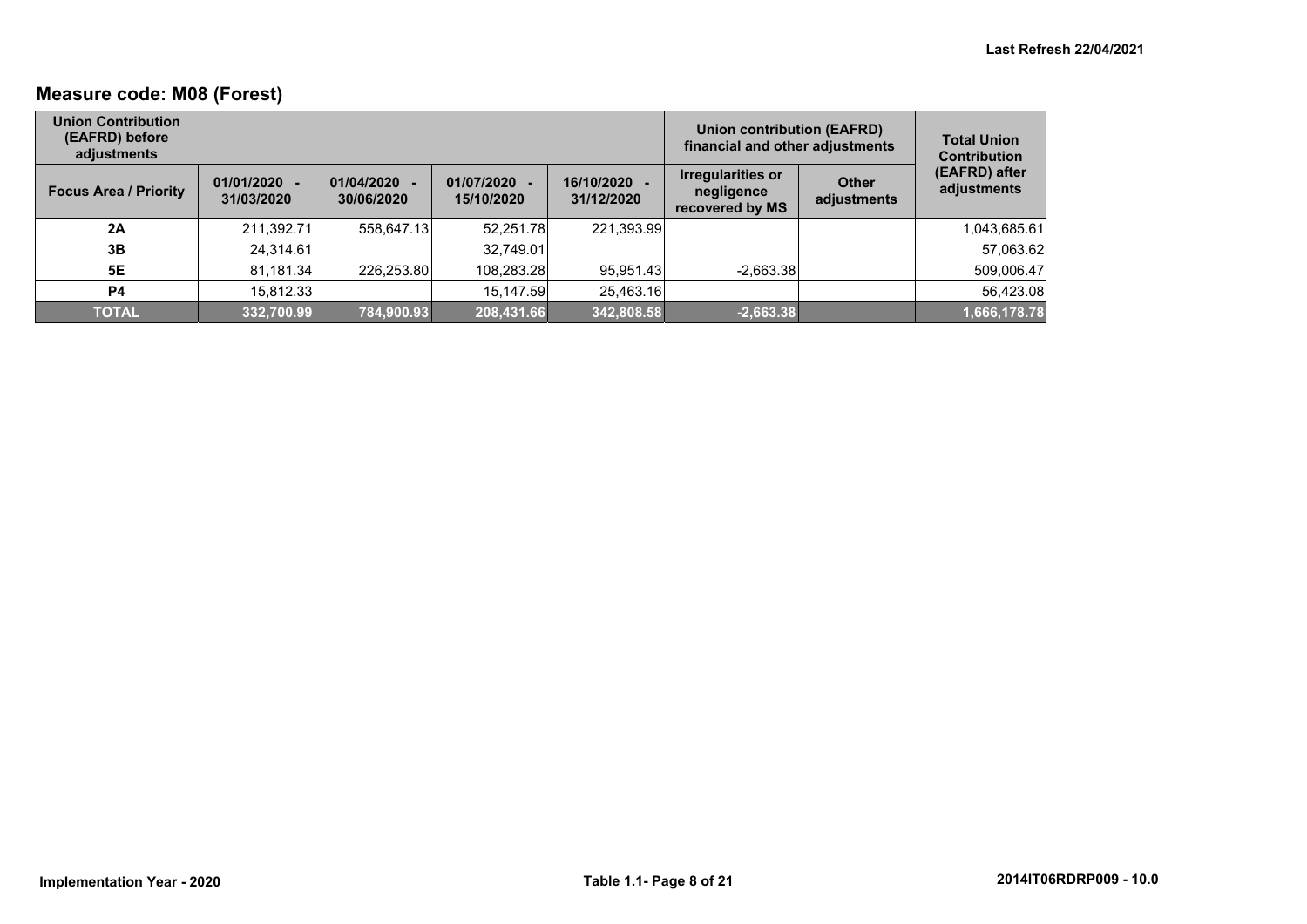## **Measure code: M08 (Forest)**

| <b>Union Contribution</b><br>(EAFRD) before<br>adjustments |                              |                          |                            |                            | <b>Union contribution (EAFRD)</b><br>financial and other adjustments |                             | <b>Total Union</b><br><b>Contribution</b> |
|------------------------------------------------------------|------------------------------|--------------------------|----------------------------|----------------------------|----------------------------------------------------------------------|-----------------------------|-------------------------------------------|
| <b>Focus Area / Priority</b>                               | $01/01/2020 -$<br>31/03/2020 | 01/04/2020<br>30/06/2020 | 01/07/2020 -<br>15/10/2020 | 16/10/2020 -<br>31/12/2020 | Irregularities or<br>negligence<br>recovered by MS                   | <b>Other</b><br>adjustments | (EAFRD) after<br>adjustments              |
| 2A                                                         | 211,392.71                   | 558,647.13               | 52,251.78                  | 221,393.99                 |                                                                      |                             | 1,043,685.61                              |
| 3Β                                                         | 24.314.61                    |                          | 32,749.01                  |                            |                                                                      |                             | 57,063.62                                 |
| <b>5E</b>                                                  | 81,181.34                    | 226,253.80               | 108,283.28                 | 95,951.43                  | $-2,663.38$                                                          |                             | 509,006.47                                |
| <b>P4</b>                                                  | 15.812.33                    |                          | 15.147.59                  | 25,463.16                  |                                                                      |                             | 56,423.08                                 |
| <b>TOTAL</b>                                               | 332,700.99                   | 784,900.93               | 208,431.66                 | 342,808.58                 | $-2,663.38$                                                          |                             | 1,666,178.78                              |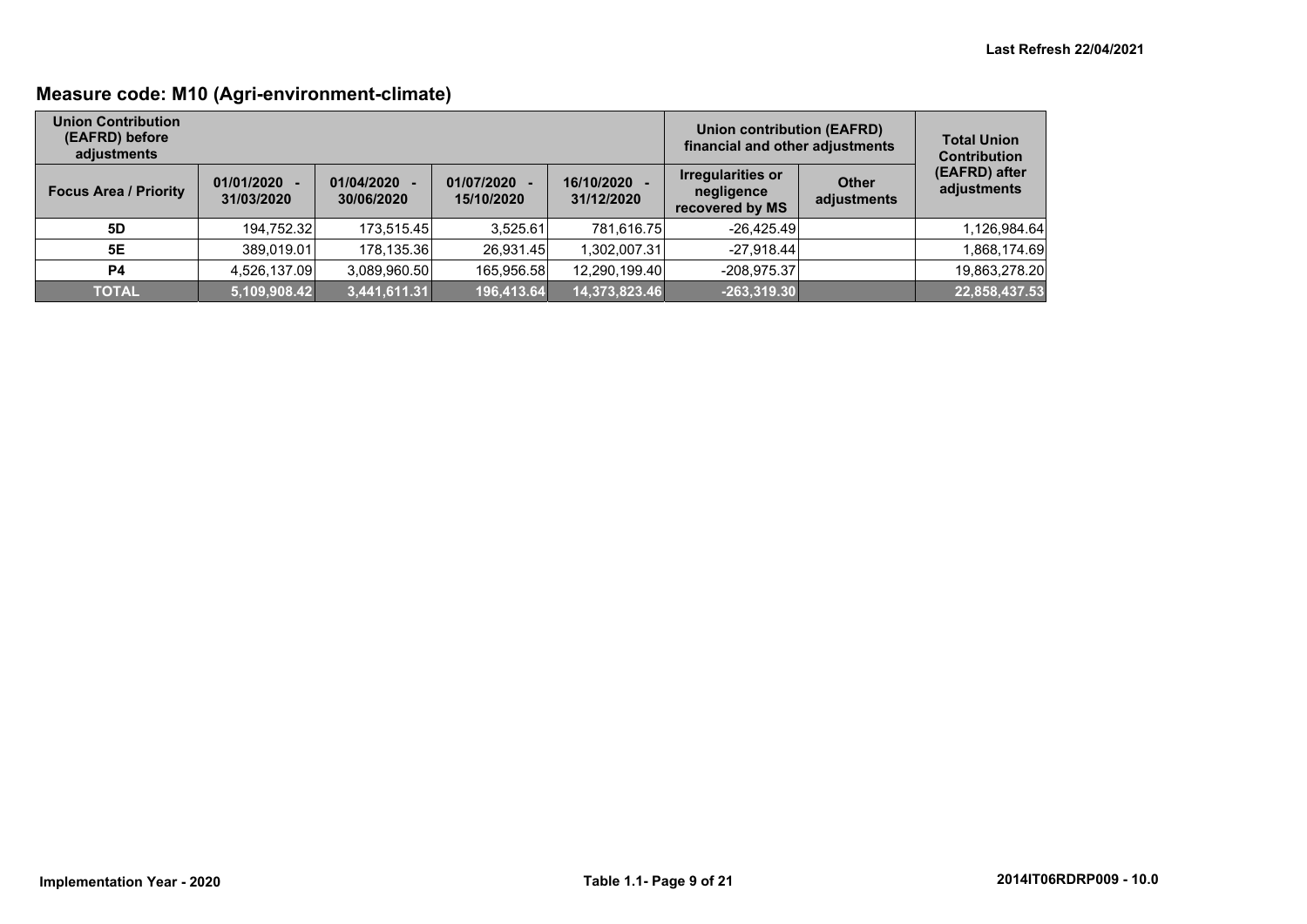## **Measure code: M10 (Agri-environment-climate)**

| <b>Union Contribution</b><br>(EAFRD) before<br>adjustments |                              |                          |                            | <b>Union contribution (EAFRD)</b><br>financial and other adjustments | <b>Total Union</b><br><b>Contribution</b>                 |                             |                              |
|------------------------------------------------------------|------------------------------|--------------------------|----------------------------|----------------------------------------------------------------------|-----------------------------------------------------------|-----------------------------|------------------------------|
| <b>Focus Area / Priority</b>                               | $01/01/2020 -$<br>31/03/2020 | 01/04/2020<br>30/06/2020 | 01/07/2020 -<br>15/10/2020 | 16/10/2020<br>31/12/2020                                             | <b>Irregularities or</b><br>negligence<br>recovered by MS | <b>Other</b><br>adjustments | (EAFRD) after<br>adjustments |
| 5D                                                         | 194,752.32                   | 173,515.45               | 3,525.61                   | 781,616.75                                                           | $-26,425.49$                                              |                             | 1,126,984.64                 |
| 5E                                                         | 389,019.01                   | 178,135.36               | 26.931.45                  | 1.302.007.31                                                         | $-27.918.44$                                              |                             | 1,868,174.69                 |
| P4                                                         | 4,526,137.09                 | 3,089,960.50             | 165,956.58                 | 12.290.199.40                                                        | $-208.975.37$                                             |                             | 19,863,278.20                |
| <b>TOTAL</b>                                               | 5,109,908.42                 | 3,441,611.31             | 196,413.64                 | 14,373,823.46                                                        | $-263,319.30$                                             |                             | 22,858,437.53                |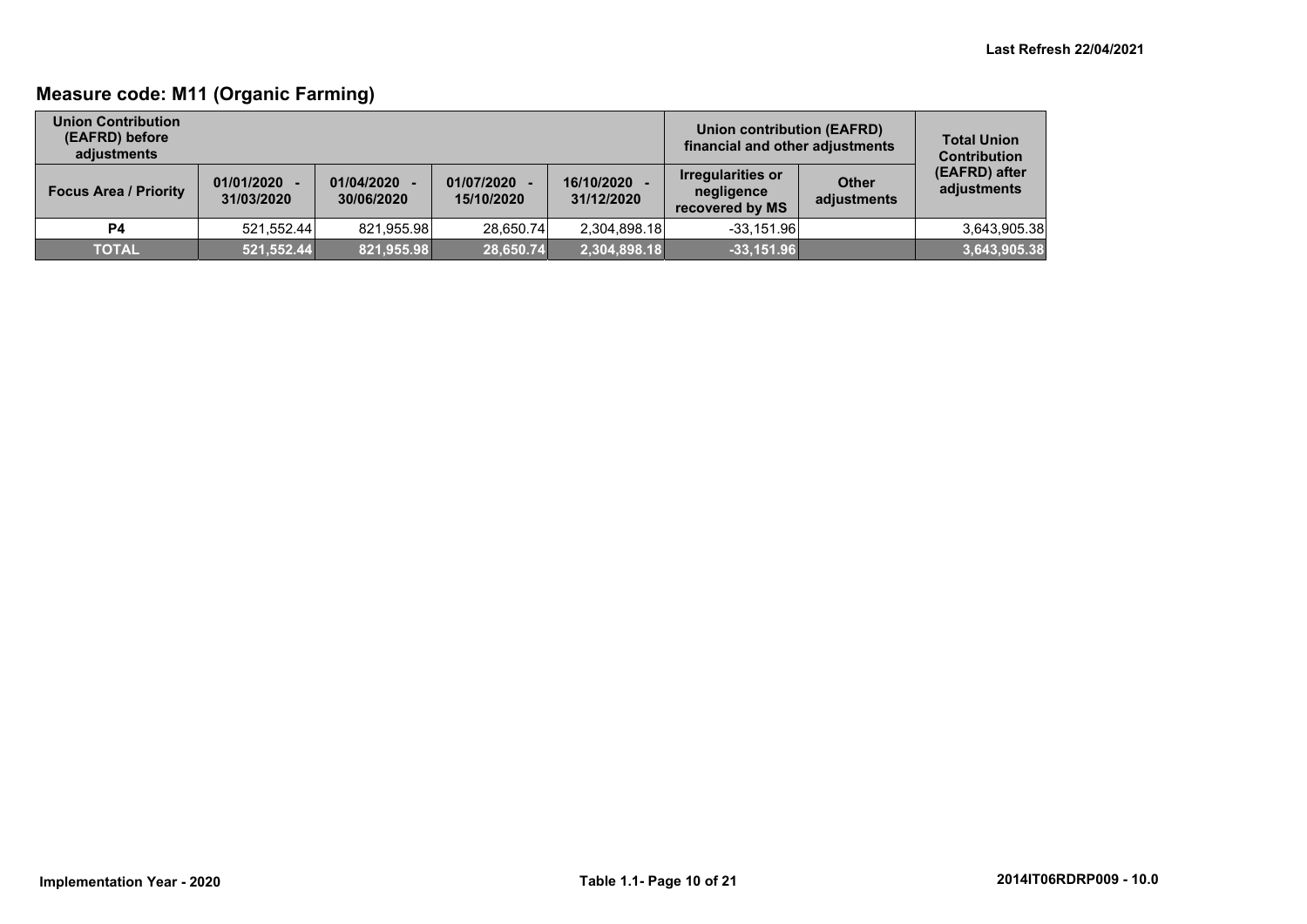## **Measure code: M11 (Organic Farming)**

| <b>Union Contribution</b><br>(EAFRD) before<br>adiustments |                              |                          |                            | Union contribution (EAFRD)<br>financial and other adjustments | <b>Total Union</b><br><b>Contribution</b>                 |                             |                              |
|------------------------------------------------------------|------------------------------|--------------------------|----------------------------|---------------------------------------------------------------|-----------------------------------------------------------|-----------------------------|------------------------------|
| <b>Focus Area / Priority</b>                               | $01/01/2020 -$<br>31/03/2020 | 01/04/2020<br>30/06/2020 | 01/07/2020 -<br>15/10/2020 | 16/10/2020<br>31/12/2020                                      | <b>Irregularities or</b><br>negligence<br>recovered by MS | <b>Other</b><br>adjustments | (EAFRD) after<br>adjustments |
| <b>P4</b>                                                  | 521.552.44                   | 821.955.98               | 28.650.74                  | 2,304,898.18                                                  | $-33.151.96$                                              |                             | 3,643,905.38                 |
| <b>TOTAL</b>                                               | 521,552.44                   | 821,955.98               | 28,650.74                  | 2,304,898.18                                                  | $-33,151.96$                                              |                             | 3,643,905.38                 |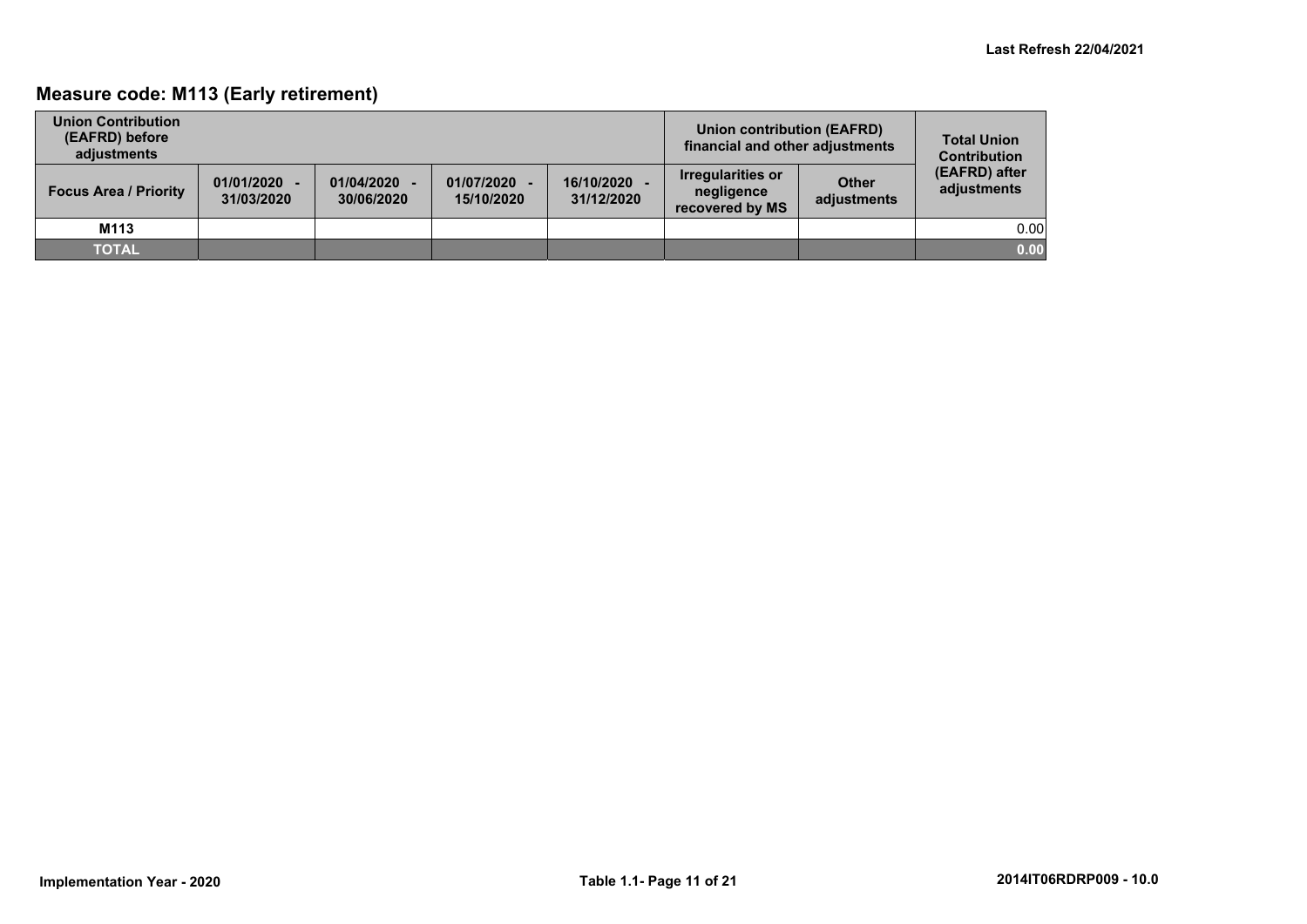## **Measure code: M113 (Early retirement)**

| <b>Union Contribution</b><br>(EAFRD) before<br>adiustments |                              |                          |                          | Union contribution (EAFRD)<br>financial and other adjustments | <b>Total Union</b><br><b>Contribution</b>                 |                             |                              |
|------------------------------------------------------------|------------------------------|--------------------------|--------------------------|---------------------------------------------------------------|-----------------------------------------------------------|-----------------------------|------------------------------|
| <b>Focus Area / Priority</b>                               | $01/01/2020 -$<br>31/03/2020 | 01/04/2020<br>30/06/2020 | 01/07/2020<br>15/10/2020 | 16/10/2020 -<br>31/12/2020                                    | <b>Irregularities or</b><br>negligence<br>recovered by MS | <b>Other</b><br>adjustments | (EAFRD) after<br>adjustments |
| M113                                                       |                              |                          |                          |                                                               |                                                           |                             | 0.00                         |
| <b>TOTAL</b>                                               |                              |                          |                          |                                                               |                                                           |                             | 0.00                         |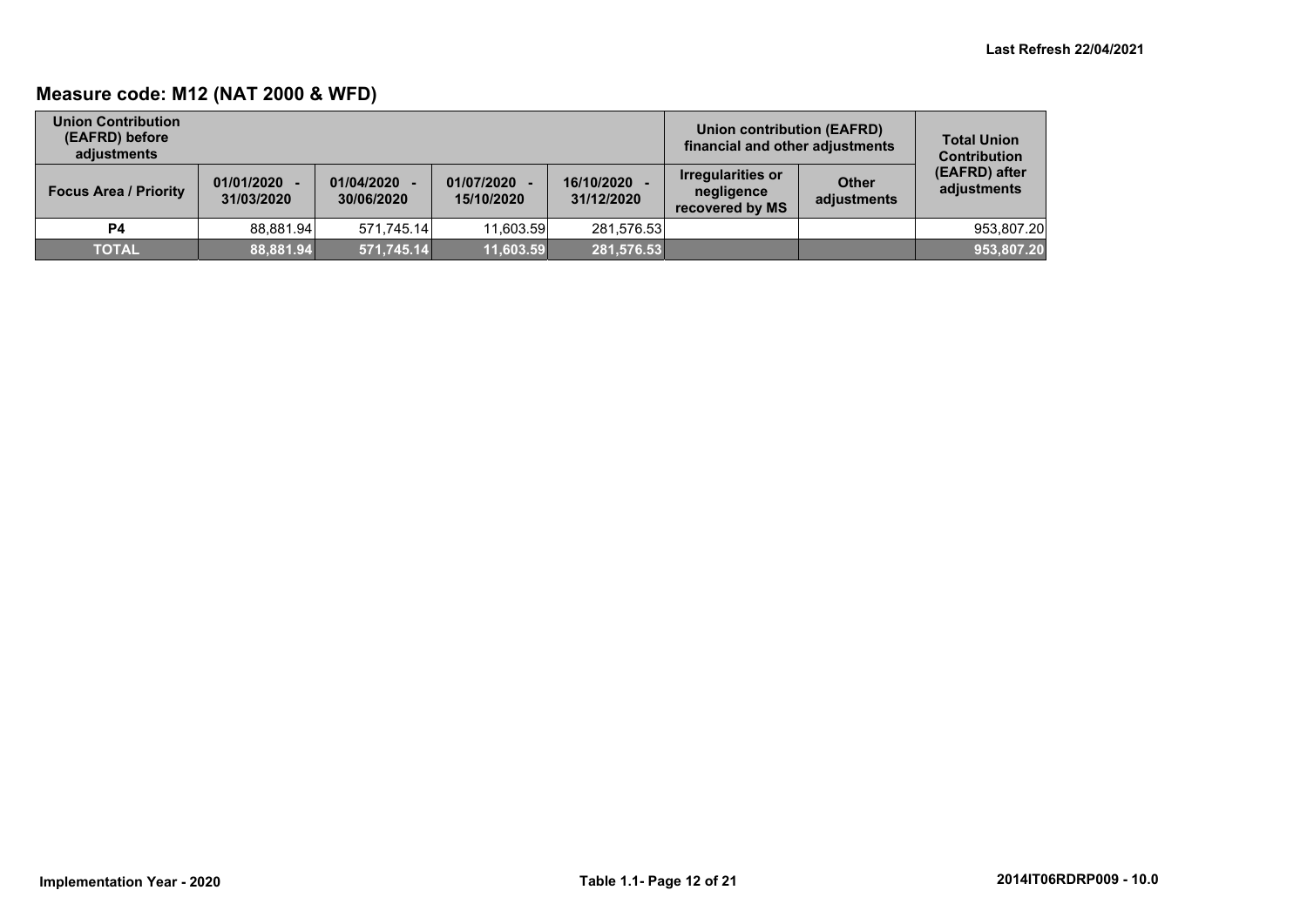## **Measure code: M12 (NAT 2000 & WFD)**

| <b>Union Contribution</b><br>(EAFRD) before<br>adiustments |                              |                          |                            |                          | Union contribution (EAFRD)<br>financial and other adjustments |                             | <b>Total Union</b><br><b>Contribution</b> |
|------------------------------------------------------------|------------------------------|--------------------------|----------------------------|--------------------------|---------------------------------------------------------------|-----------------------------|-------------------------------------------|
| <b>Focus Area / Priority</b>                               | $01/01/2020 -$<br>31/03/2020 | 01/04/2020<br>30/06/2020 | 01/07/2020 -<br>15/10/2020 | 16/10/2020<br>31/12/2020 | <b>Irregularities or</b><br>negligence<br>recovered by MS     | <b>Other</b><br>adjustments | (EAFRD) after<br>adjustments              |
| <b>P4</b>                                                  | 88.881.94                    | 571.745.14               | 11.603.59                  | 281.576.53               |                                                               |                             | 953.807.20                                |
| <b>TOTAL</b>                                               | 88,881.94                    | 571,745.14               | 11,603.59                  | 281,576.53               |                                                               |                             | 953,807.20                                |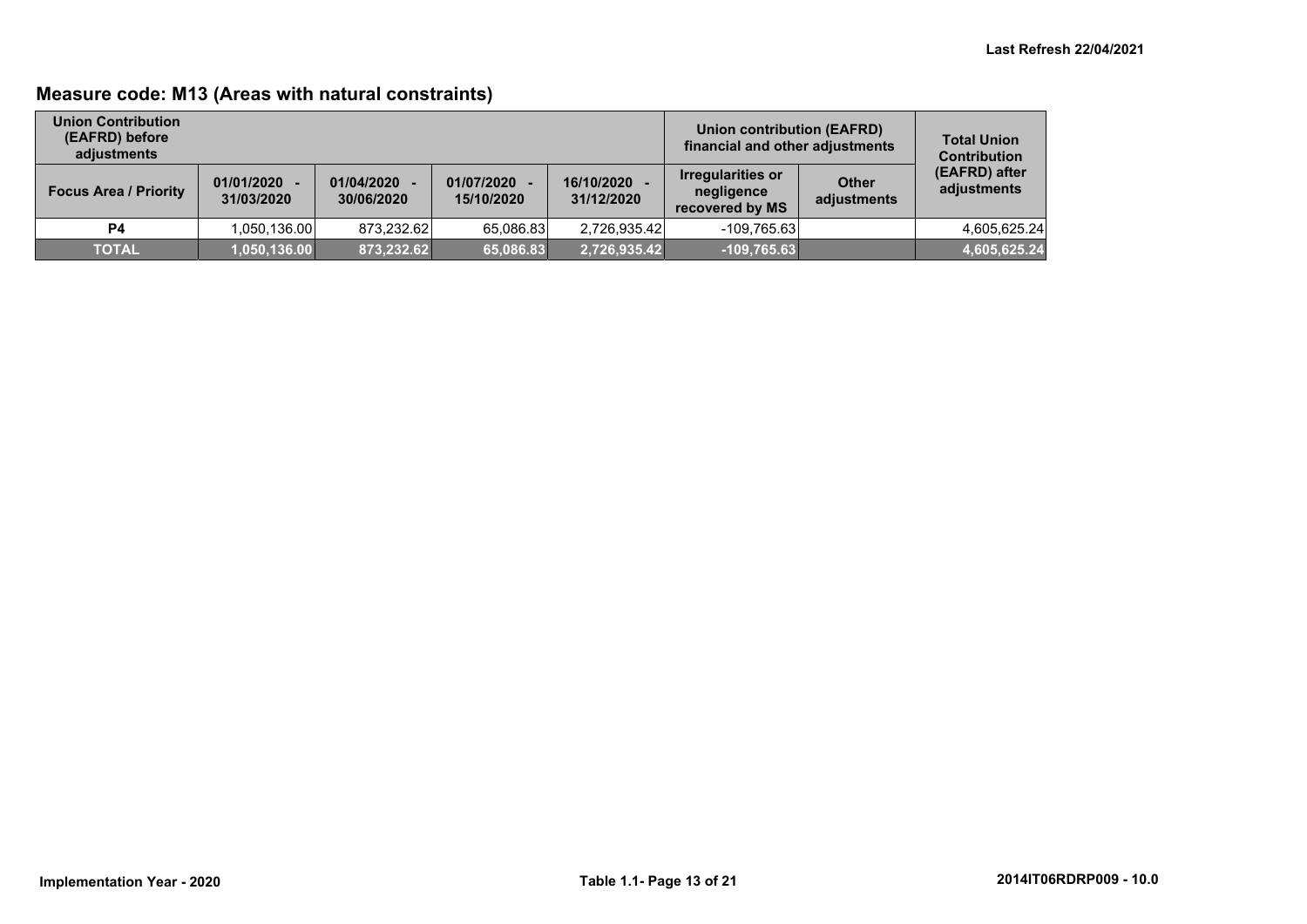## **Measure code: M13 (Areas with natural constraints)**

| <b>Union Contribution</b><br>(EAFRD) before<br>adjustments |                              |                          |                            |                          | Union contribution (EAFRD)<br>financial and other adjustments |                             | <b>Total Union</b><br><b>Contribution</b> |
|------------------------------------------------------------|------------------------------|--------------------------|----------------------------|--------------------------|---------------------------------------------------------------|-----------------------------|-------------------------------------------|
| <b>Focus Area / Priority</b>                               | $01/01/2020 -$<br>31/03/2020 | 01/04/2020<br>30/06/2020 | 01/07/2020 -<br>15/10/2020 | 16/10/2020<br>31/12/2020 | <b>Irregularities or</b><br>negligence<br>recovered by MS     | <b>Other</b><br>adjustments | (EAFRD) after<br>adjustments              |
| P <sub>4</sub>                                             | 1,050,136.00                 | 873.232.62               | 65,086.83                  | 2,726,935.42             | -109,765.63                                                   |                             | 4,605,625.24                              |
| <b>TOTAL</b>                                               | 1,050,136.00                 | 873,232.62               | 65,086.83                  | 2,726,935.42             | $-109,765.63$                                                 |                             | 4,605,625.24                              |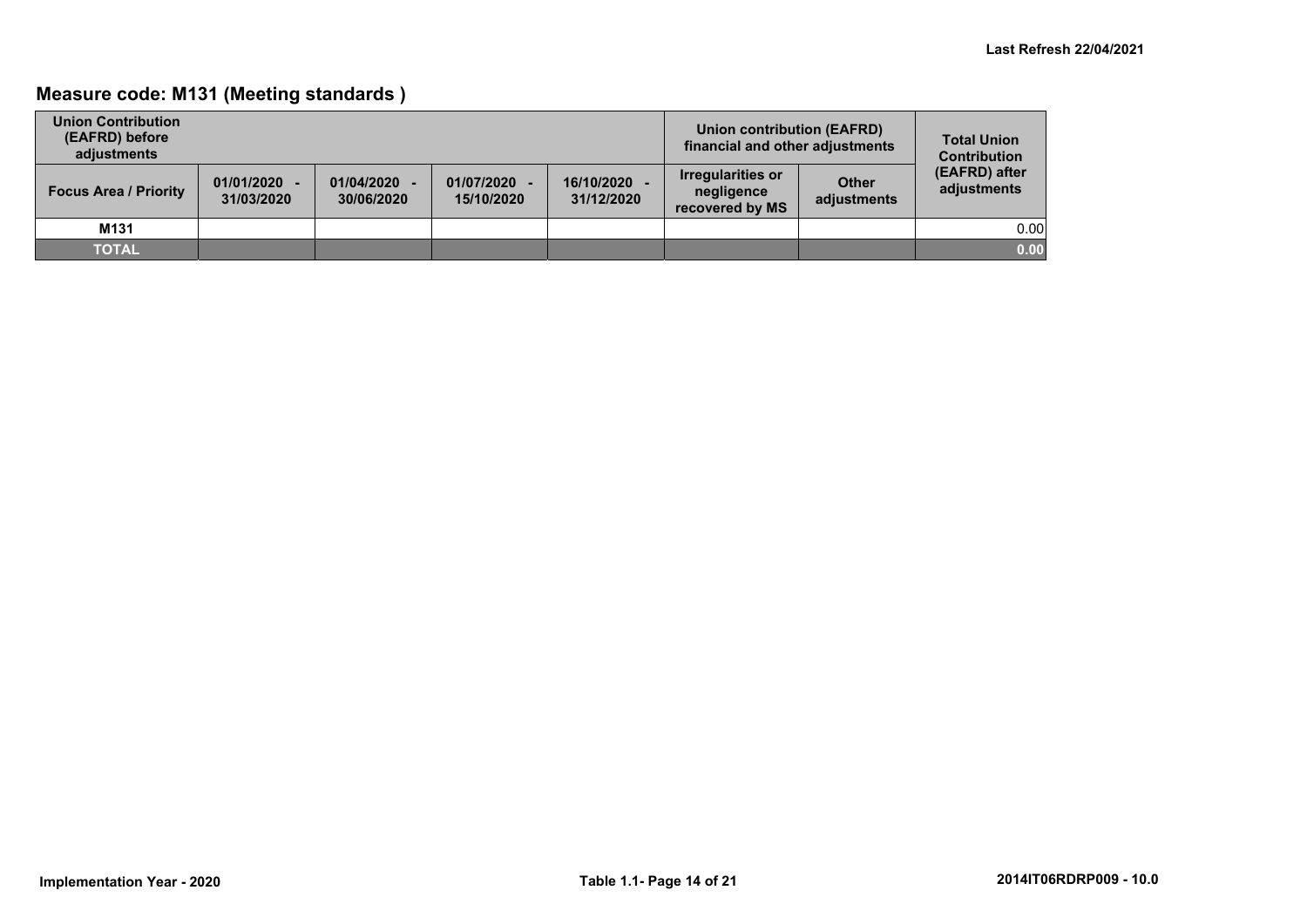## **Measure code: M131 (Meeting standards )**

| <b>Union Contribution</b><br>(EAFRD) before<br>adiustments |                              |                          |                          |                          | Union contribution (EAFRD)<br>financial and other adjustments |                             | <b>Total Union</b><br><b>Contribution</b> |
|------------------------------------------------------------|------------------------------|--------------------------|--------------------------|--------------------------|---------------------------------------------------------------|-----------------------------|-------------------------------------------|
| <b>Focus Area / Priority</b>                               | $01/01/2020 -$<br>31/03/2020 | 01/04/2020<br>30/06/2020 | 01/07/2020<br>15/10/2020 | 16/10/2020<br>31/12/2020 | Irregularities or<br>negligence<br>recovered by MS            | <b>Other</b><br>adjustments | (EAFRD) after<br>adjustments              |
| M131                                                       |                              |                          |                          |                          |                                                               |                             | 0.00                                      |
| <b>TOTAL</b>                                               |                              |                          |                          |                          |                                                               |                             | 0.00                                      |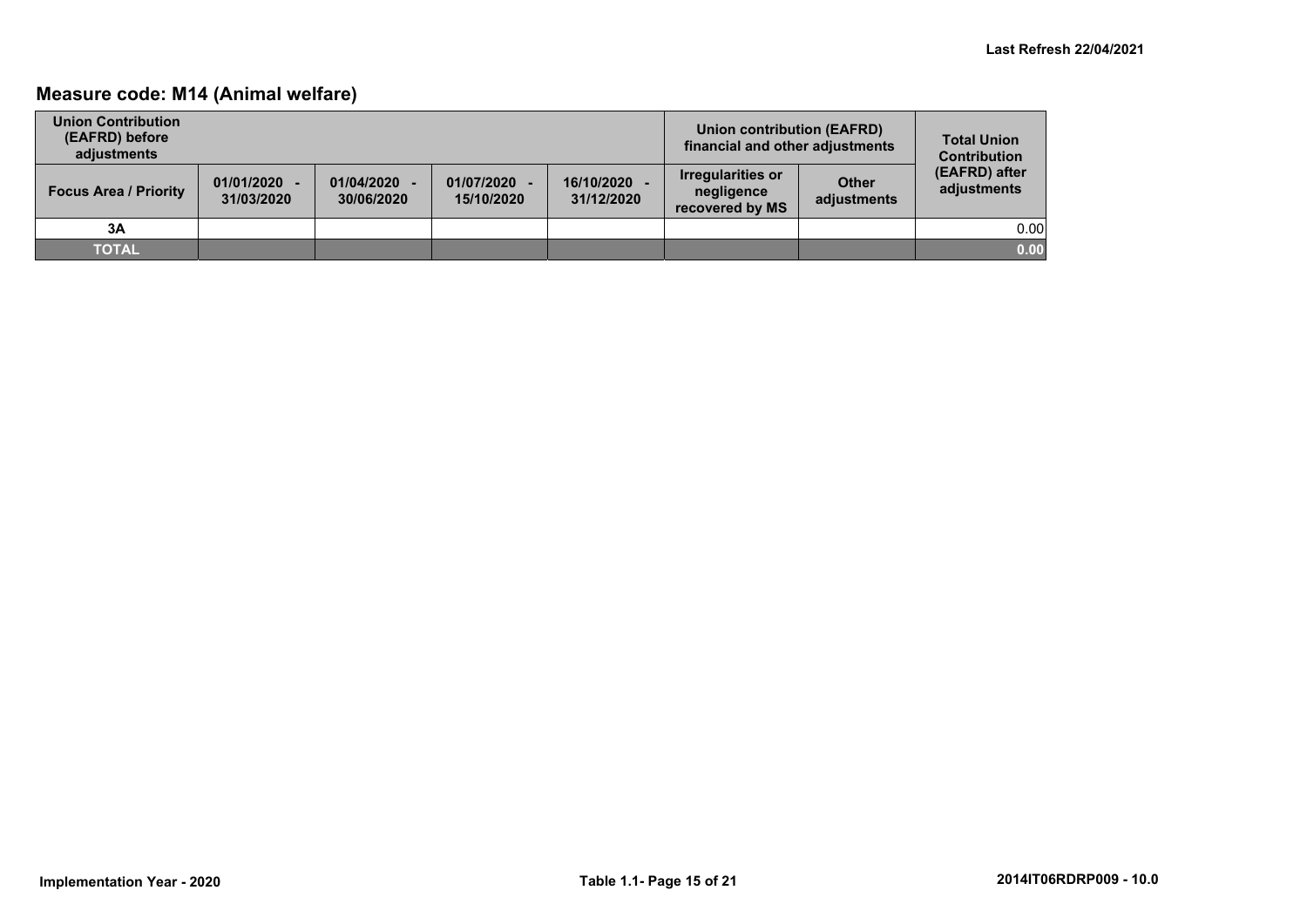## **Measure code: M14 (Animal welfare)**

| <b>Union Contribution</b><br>(EAFRD) before<br>adjustments |                              |                          |                          |                          | Union contribution (EAFRD)<br>financial and other adjustments |                             | <b>Total Union</b><br><b>Contribution</b> |
|------------------------------------------------------------|------------------------------|--------------------------|--------------------------|--------------------------|---------------------------------------------------------------|-----------------------------|-------------------------------------------|
| <b>Focus Area / Priority</b>                               | $01/01/2020 -$<br>31/03/2020 | 01/04/2020<br>30/06/2020 | 01/07/2020<br>15/10/2020 | 16/10/2020<br>31/12/2020 | <b>Irregularities or</b><br>negligence<br>recovered by MS     | <b>Other</b><br>adjustments | (EAFRD) after<br>adjustments              |
| 3A                                                         |                              |                          |                          |                          |                                                               |                             | 0.00                                      |
| <b>TOTAL</b>                                               |                              |                          |                          |                          |                                                               |                             | 0.00                                      |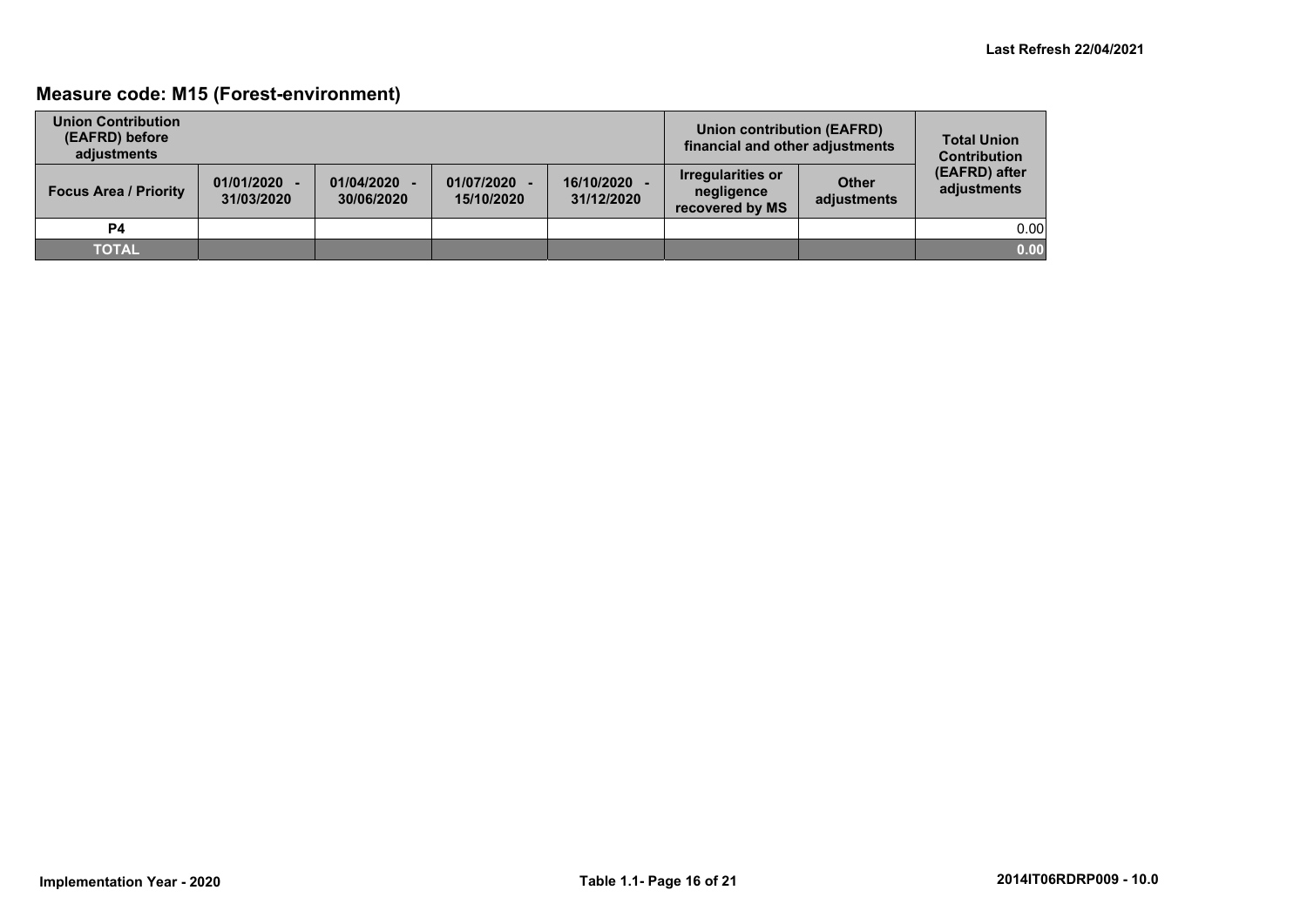## **Measure code: M15 (Forest-environment)**

| <b>Union Contribution</b><br>(EAFRD) before<br>adjustments |                              |                          |                          |                          | Union contribution (EAFRD)<br>financial and other adjustments |                             | <b>Total Union</b><br><b>Contribution</b> |
|------------------------------------------------------------|------------------------------|--------------------------|--------------------------|--------------------------|---------------------------------------------------------------|-----------------------------|-------------------------------------------|
| <b>Focus Area / Priority</b>                               | $01/01/2020 -$<br>31/03/2020 | 01/04/2020<br>30/06/2020 | 01/07/2020<br>15/10/2020 | 16/10/2020<br>31/12/2020 | Irregularities or<br>negligence<br>recovered by MS            | <b>Other</b><br>adjustments | (EAFRD) after<br>adjustments              |
| <b>P4</b>                                                  |                              |                          |                          |                          |                                                               |                             | 0.00                                      |
| <b>TOTAL</b>                                               |                              |                          |                          |                          |                                                               |                             | 0.00                                      |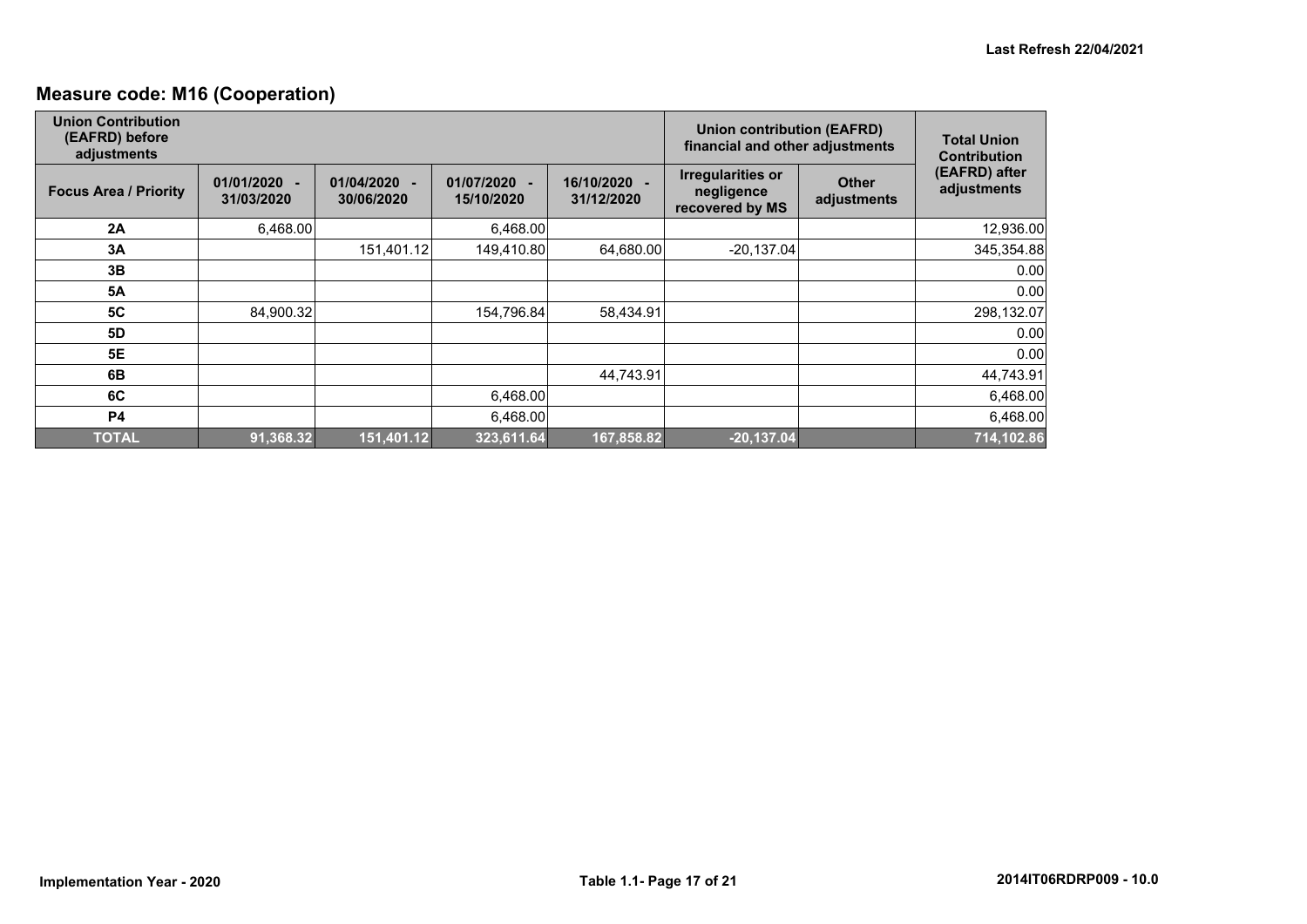## **Measure code: M16 (Cooperation)**

| <b>Union Contribution</b><br>(EAFRD) before<br>adjustments |                              |                          |                            |                            | <b>Union contribution (EAFRD)</b><br>financial and other adjustments | <b>Total Union</b><br><b>Contribution</b> |                              |
|------------------------------------------------------------|------------------------------|--------------------------|----------------------------|----------------------------|----------------------------------------------------------------------|-------------------------------------------|------------------------------|
| <b>Focus Area / Priority</b>                               | $01/01/2020 -$<br>31/03/2020 | 01/04/2020<br>30/06/2020 | 01/07/2020 -<br>15/10/2020 | 16/10/2020 -<br>31/12/2020 | <b>Irregularities or</b><br>negligence<br>recovered by MS            | <b>Other</b><br>adjustments               | (EAFRD) after<br>adjustments |
| 2A                                                         | 6,468.00                     |                          | 6,468.00                   |                            |                                                                      |                                           | 12,936.00                    |
| 3A                                                         |                              | 151,401.12               | 149,410.80                 | 64,680.00                  | $-20,137.04$                                                         |                                           | 345,354.88                   |
| 3B                                                         |                              |                          |                            |                            |                                                                      |                                           | 0.00                         |
| <b>5A</b>                                                  |                              |                          |                            |                            |                                                                      |                                           | 0.00                         |
| <b>5C</b>                                                  | 84,900.32                    |                          | 154,796.84                 | 58,434.91                  |                                                                      |                                           | 298,132.07                   |
| <b>5D</b>                                                  |                              |                          |                            |                            |                                                                      |                                           | 0.00                         |
| 5E                                                         |                              |                          |                            |                            |                                                                      |                                           | 0.00                         |
| 6B                                                         |                              |                          |                            | 44,743.91                  |                                                                      |                                           | 44,743.91                    |
| 6C                                                         |                              |                          | 6,468.00                   |                            |                                                                      |                                           | 6,468.00                     |
| <b>P4</b>                                                  |                              |                          | 6,468.00                   |                            |                                                                      |                                           | 6,468.00                     |
| <b>TOTAL</b>                                               | 91,368.32                    | 151,401.12               | 323,611.64                 | 167,858.82                 | $-20,137.04$                                                         |                                           | 714,102.86                   |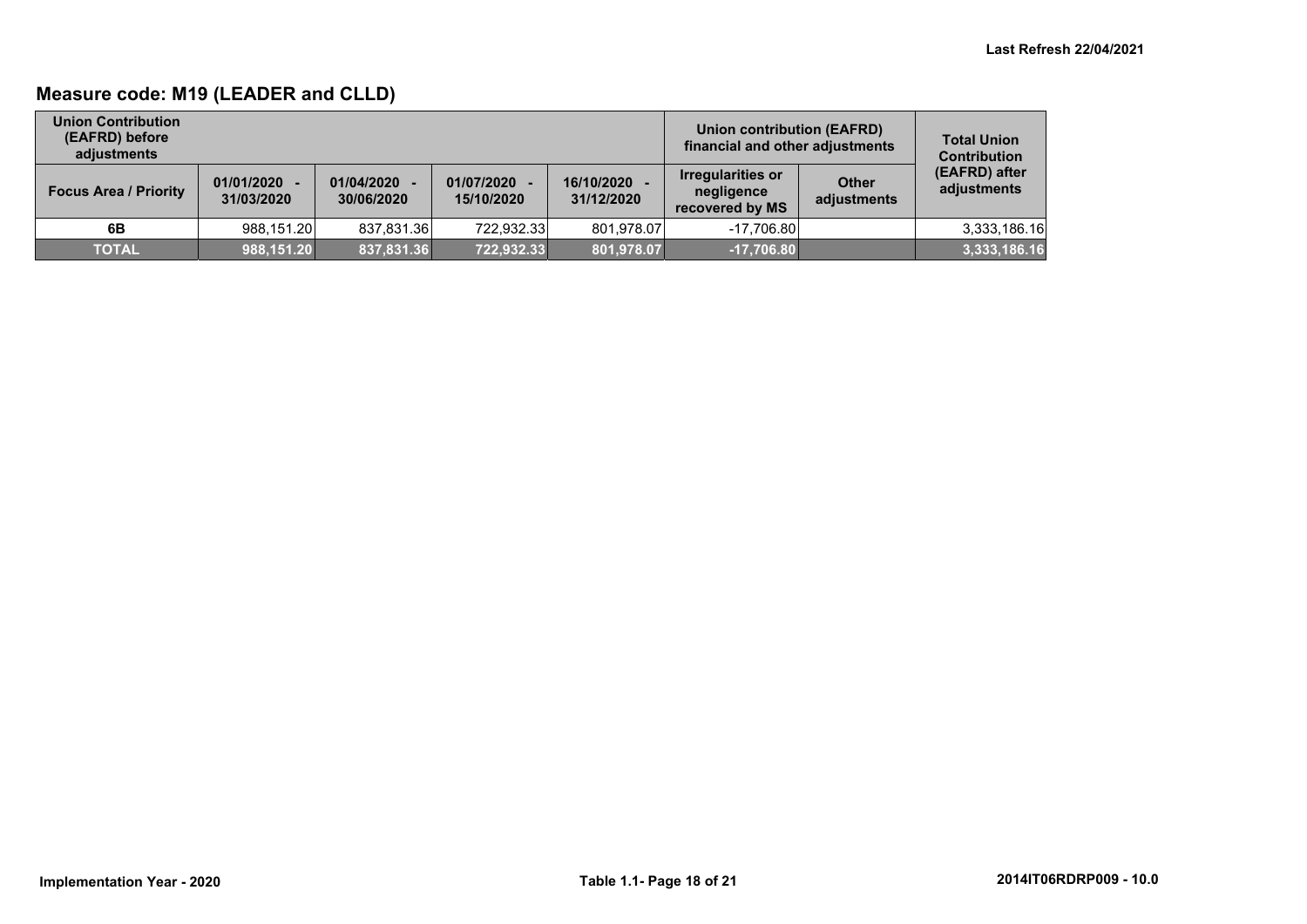## **Measure code: M19 (LEADER and CLLD)**

| <b>Union Contribution</b><br>(EAFRD) before<br>adjustments |                              |                          |                            |                          | Union contribution (EAFRD)<br>financial and other adjustments |                      | <b>Total Union</b><br><b>Contribution</b> |
|------------------------------------------------------------|------------------------------|--------------------------|----------------------------|--------------------------|---------------------------------------------------------------|----------------------|-------------------------------------------|
| <b>Focus Area / Priority</b>                               | $01/01/2020 -$<br>31/03/2020 | 01/04/2020<br>30/06/2020 | 01/07/2020 -<br>15/10/2020 | 16/10/2020<br>31/12/2020 | Irregularities or<br>negligence<br>recovered by MS            | Other<br>adjustments | (EAFRD) after<br>adjustments              |
| 6B                                                         | 988,151.20                   | 837,831.36               | 722,932.33                 | 801.978.07               | $-17.706.80$                                                  |                      | 3,333,186.16                              |
| <b>TOTAL</b>                                               | 988,151.20                   | 837,831.36               | 722,932.33                 | 801,978.07               | $-17,706.80$                                                  |                      | 3,333,186.16                              |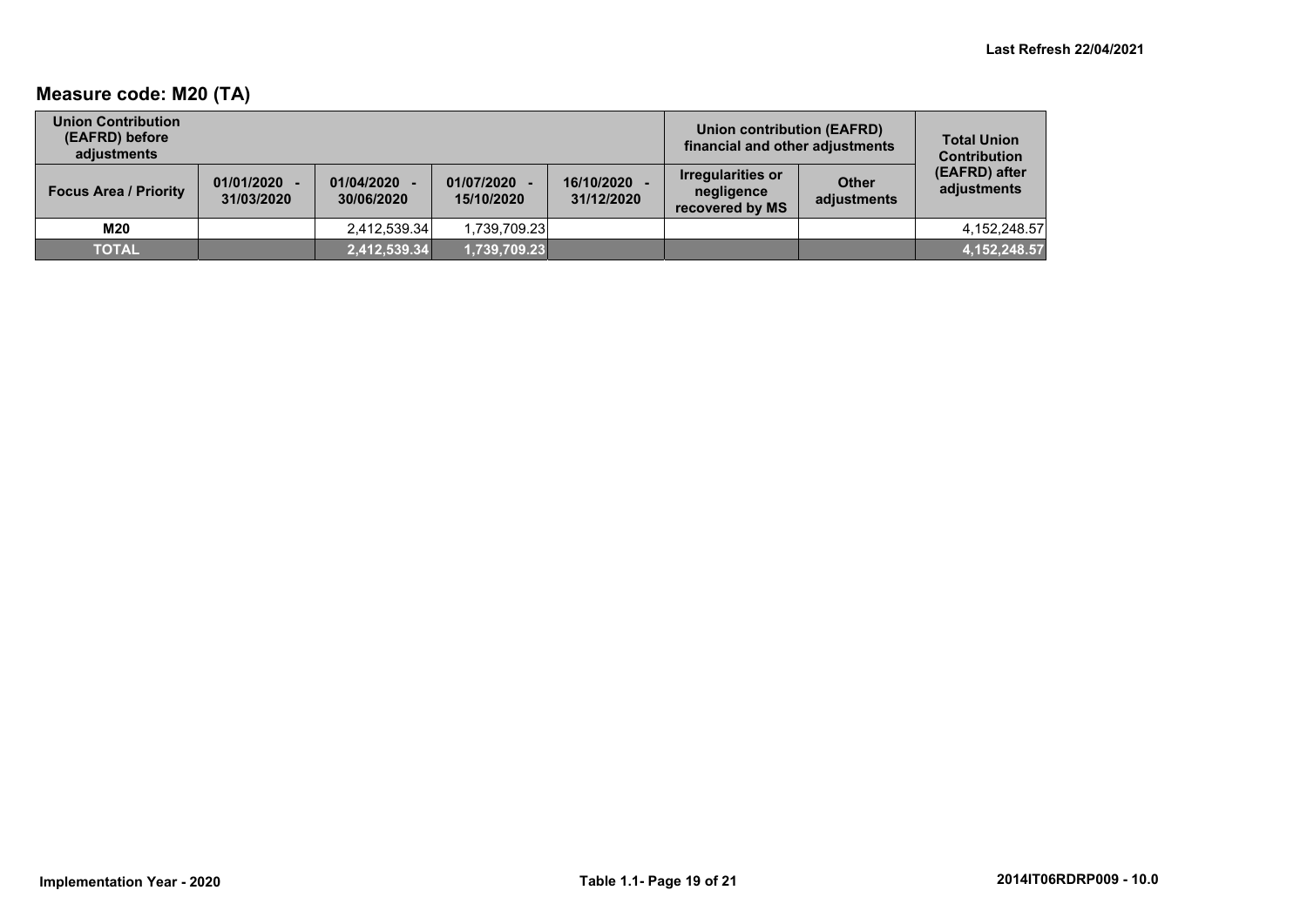## **Measure code: M20 (TA)**

| <b>Union Contribution</b><br>(EAFRD) before<br>adiustments |                              |                          |                            | <b>Union contribution (EAFRD)</b><br>financial and other adjustments | <b>Total Union</b><br><b>Contribution</b>                 |                             |                              |
|------------------------------------------------------------|------------------------------|--------------------------|----------------------------|----------------------------------------------------------------------|-----------------------------------------------------------|-----------------------------|------------------------------|
| <b>Focus Area / Priority</b>                               | $01/01/2020 -$<br>31/03/2020 | 01/04/2020<br>30/06/2020 | 01/07/2020 -<br>15/10/2020 | 16/10/2020<br>31/12/2020                                             | <b>Irregularities or</b><br>negligence<br>recovered by MS | <b>Other</b><br>adjustments | (EAFRD) after<br>adjustments |
| M20                                                        |                              | 2,412,539.34             | 1.739.709.23               |                                                                      |                                                           |                             | 4.152.248.57                 |
| <b>TOTAL</b>                                               |                              | 2,412,539.34             | 1,739,709.23               |                                                                      |                                                           |                             | 4, 152, 248.57               |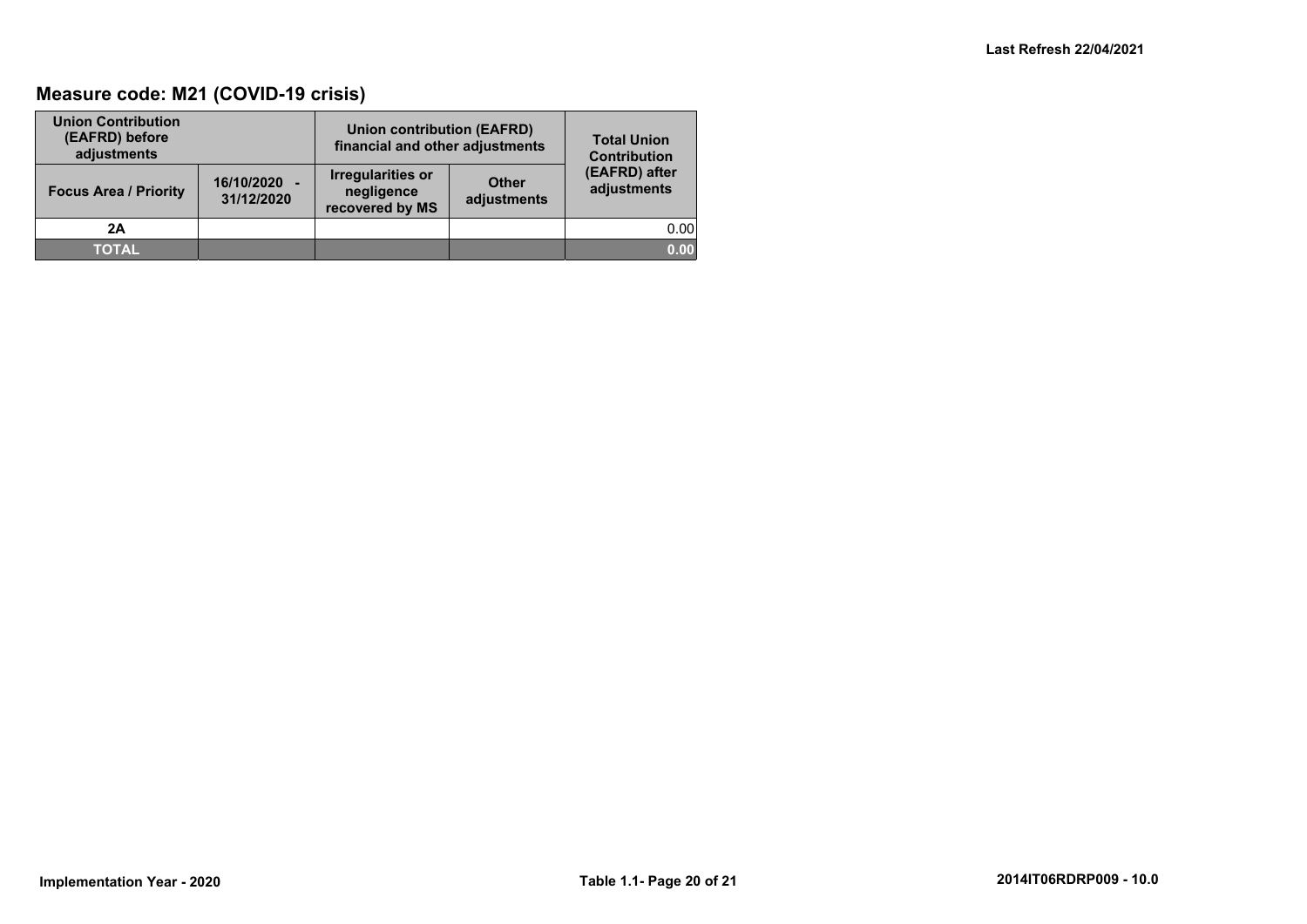## **Measure code: M21 (COVID-19 crisis)**

| <b>Union Contribution</b><br>(EAFRD) before<br>adjustments |                            | <b>Union contribution (EAFRD)</b><br>financial and other adjustments | <b>Total Union</b><br><b>Contribution</b> |                              |
|------------------------------------------------------------|----------------------------|----------------------------------------------------------------------|-------------------------------------------|------------------------------|
| <b>Focus Area / Priority</b>                               | 16/10/2020 -<br>31/12/2020 | <b>Irregularities or</b><br>negligence<br>recovered by MS            | <b>Other</b><br>adjustments               | (EAFRD) after<br>adjustments |
| 2A                                                         |                            |                                                                      |                                           | 0.00                         |
| <b>TOTAL</b>                                               |                            |                                                                      |                                           | 0.00                         |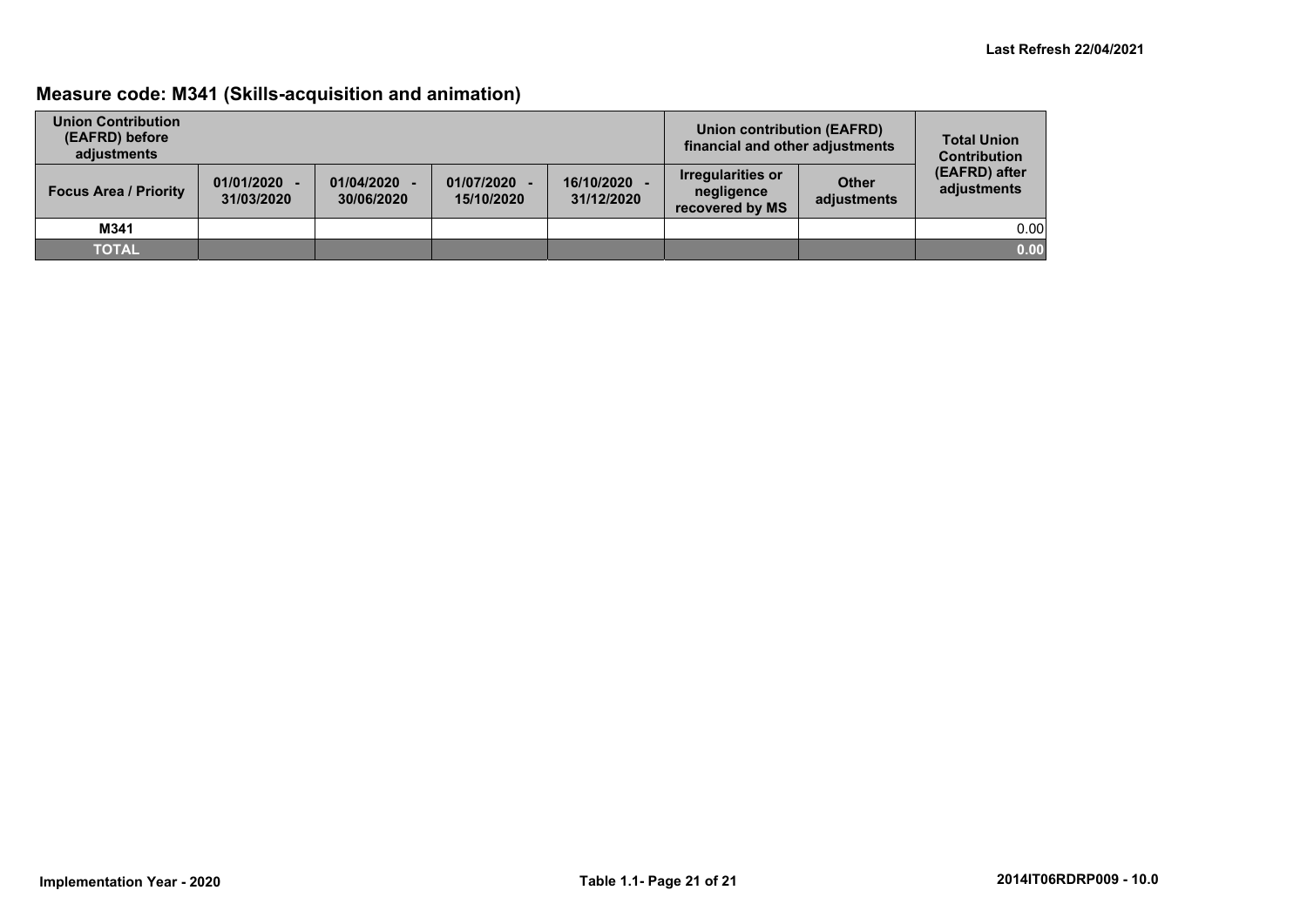## **Measure code: M341 (Skills-acquisition and animation)**

| <b>Union Contribution</b><br>(EAFRD) before<br>adjustments |                              |                          |                            |                          | Union contribution (EAFRD)<br>financial and other adjustments |                             | <b>Total Union</b><br><b>Contribution</b> |
|------------------------------------------------------------|------------------------------|--------------------------|----------------------------|--------------------------|---------------------------------------------------------------|-----------------------------|-------------------------------------------|
| <b>Focus Area / Priority</b>                               | $01/01/2020 -$<br>31/03/2020 | 01/04/2020<br>30/06/2020 | 01/07/2020 -<br>15/10/2020 | 16/10/2020<br>31/12/2020 | Irregularities or<br>negligence<br>recovered by MS            | <b>Other</b><br>adjustments | (EAFRD) after<br>adjustments              |
| M341                                                       |                              |                          |                            |                          |                                                               |                             | 0.00                                      |
| <b>TOTAL</b>                                               |                              |                          |                            |                          |                                                               |                             | 0.00                                      |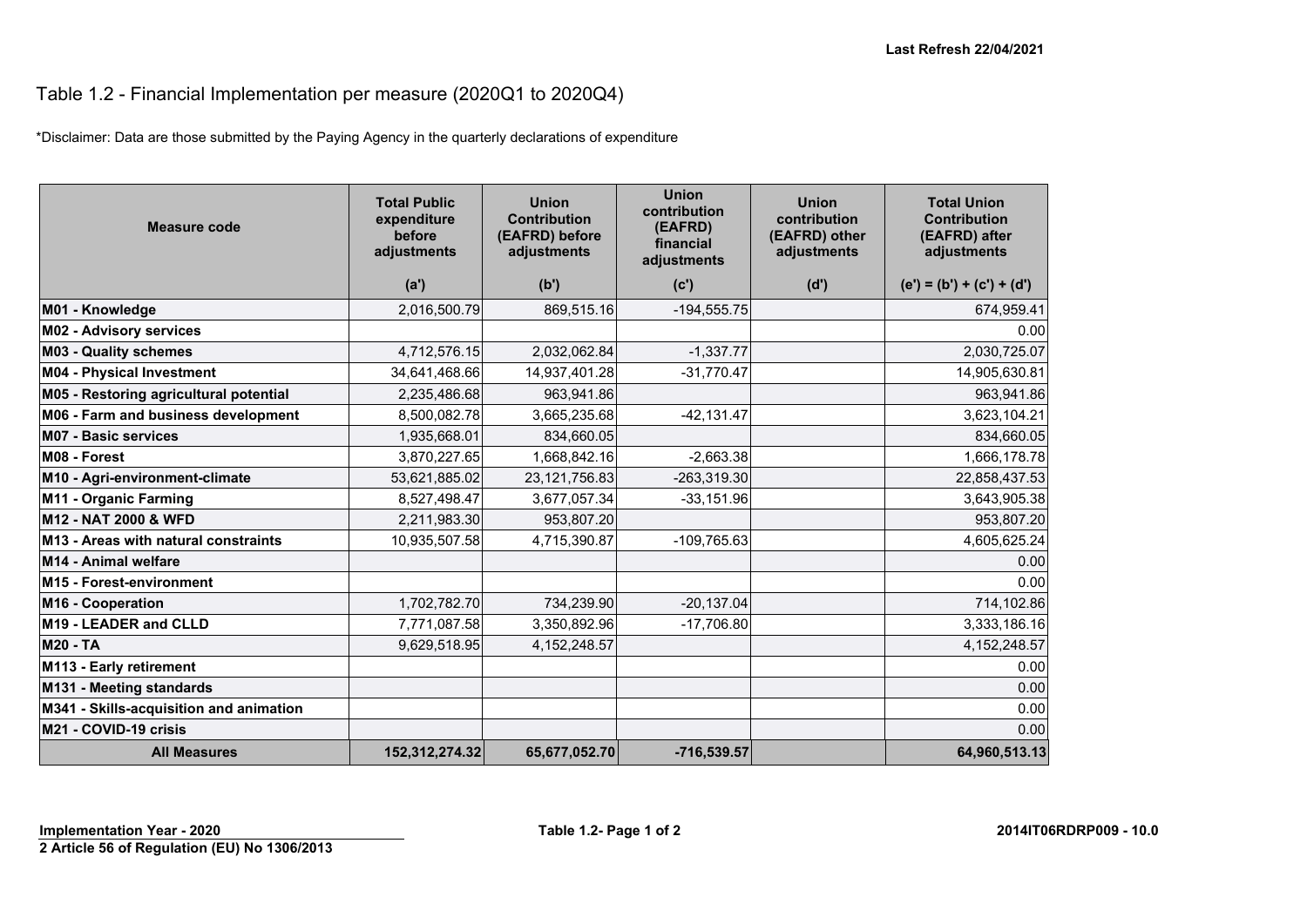## Table 1.2 - Financial Implementation per measure (2020Q1 to 2020Q4)

\*Disclaimer: Data are those submitted by the Paying Agency in the quarterly declarations of expenditure

| <b>Measure code</b>                     | <b>Total Public</b><br>expenditure<br>before<br>adjustments | <b>Union</b><br><b>Contribution</b><br>(EAFRD) before<br>adjustments | <b>Union</b><br>contribution<br>(EAFRD)<br>financial<br>adjustments | <b>Union</b><br>contribution<br>(EAFRD) other<br>adjustments | <b>Total Union</b><br><b>Contribution</b><br>(EAFRD) after<br>adjustments |
|-----------------------------------------|-------------------------------------------------------------|----------------------------------------------------------------------|---------------------------------------------------------------------|--------------------------------------------------------------|---------------------------------------------------------------------------|
|                                         | (a')                                                        | (b')                                                                 | (c')                                                                | (d')                                                         | $(e') = (b') + (c') + (d')$                                               |
| M01 - Knowledge                         | 2,016,500.79                                                | 869,515.16                                                           | $-194,555.75$                                                       |                                                              | 674,959.41                                                                |
| <b>M02 - Advisory services</b>          |                                                             |                                                                      |                                                                     |                                                              | 0.00                                                                      |
| <b>M03 - Quality schemes</b>            | 4,712,576.15                                                | 2,032,062.84                                                         | $-1,337.77$                                                         |                                                              | 2,030,725.07                                                              |
| M04 - Physical Investment               | 34,641,468.66                                               | 14,937,401.28                                                        | $-31,770.47$                                                        |                                                              | 14,905,630.81                                                             |
| M05 - Restoring agricultural potential  | 2,235,486.68                                                | 963,941.86                                                           |                                                                     |                                                              | 963,941.86                                                                |
| M06 - Farm and business development     | 8,500,082.78                                                | 3,665,235.68                                                         | $-42,131.47$                                                        |                                                              | 3,623,104.21                                                              |
| <b>M07 - Basic services</b>             | 1,935,668.01                                                | 834,660.05                                                           |                                                                     |                                                              | 834,660.05                                                                |
| M08 - Forest                            | 3,870,227.65                                                | 1,668,842.16                                                         | $-2,663.38$                                                         |                                                              | 1,666,178.78                                                              |
| M10 - Agri-environment-climate          | 53,621,885.02                                               | 23, 121, 756.83                                                      | $-263,319.30$                                                       |                                                              | 22,858,437.53                                                             |
| M11 - Organic Farming                   | 8,527,498.47                                                | 3,677,057.34                                                         | $-33,151.96$                                                        |                                                              | 3,643,905.38                                                              |
| M12 - NAT 2000 & WFD                    | 2,211,983.30                                                | 953,807.20                                                           |                                                                     |                                                              | 953,807.20                                                                |
| M13 - Areas with natural constraints    | 10,935,507.58                                               | 4,715,390.87                                                         | $-109,765.63$                                                       |                                                              | 4,605,625.24                                                              |
| M14 - Animal welfare                    |                                                             |                                                                      |                                                                     |                                                              | 0.00                                                                      |
| M15 - Forest-environment                |                                                             |                                                                      |                                                                     |                                                              | 0.00                                                                      |
| M16 - Cooperation                       | 1,702,782.70                                                | 734,239.90                                                           | $-20,137.04$                                                        |                                                              | 714,102.86                                                                |
| M <sub>19</sub> - LEADER and CLLD       | 7,771,087.58                                                | 3,350,892.96                                                         | $-17,706.80$                                                        |                                                              | 3,333,186.16                                                              |
| <b>M20 - TA</b>                         | 9,629,518.95                                                | 4, 152, 248.57                                                       |                                                                     |                                                              | 4, 152, 248.57                                                            |
| M113 - Early retirement                 |                                                             |                                                                      |                                                                     |                                                              | 0.00                                                                      |
| M131 - Meeting standards                |                                                             |                                                                      |                                                                     |                                                              | 0.00                                                                      |
| M341 - Skills-acquisition and animation |                                                             |                                                                      |                                                                     |                                                              | 0.00                                                                      |
| M21 - COVID-19 crisis                   |                                                             |                                                                      |                                                                     |                                                              | 0.00                                                                      |
| <b>All Measures</b>                     | 152,312,274.32                                              | 65,677,052.70                                                        | $-716,539.57$                                                       |                                                              | 64,960,513.13                                                             |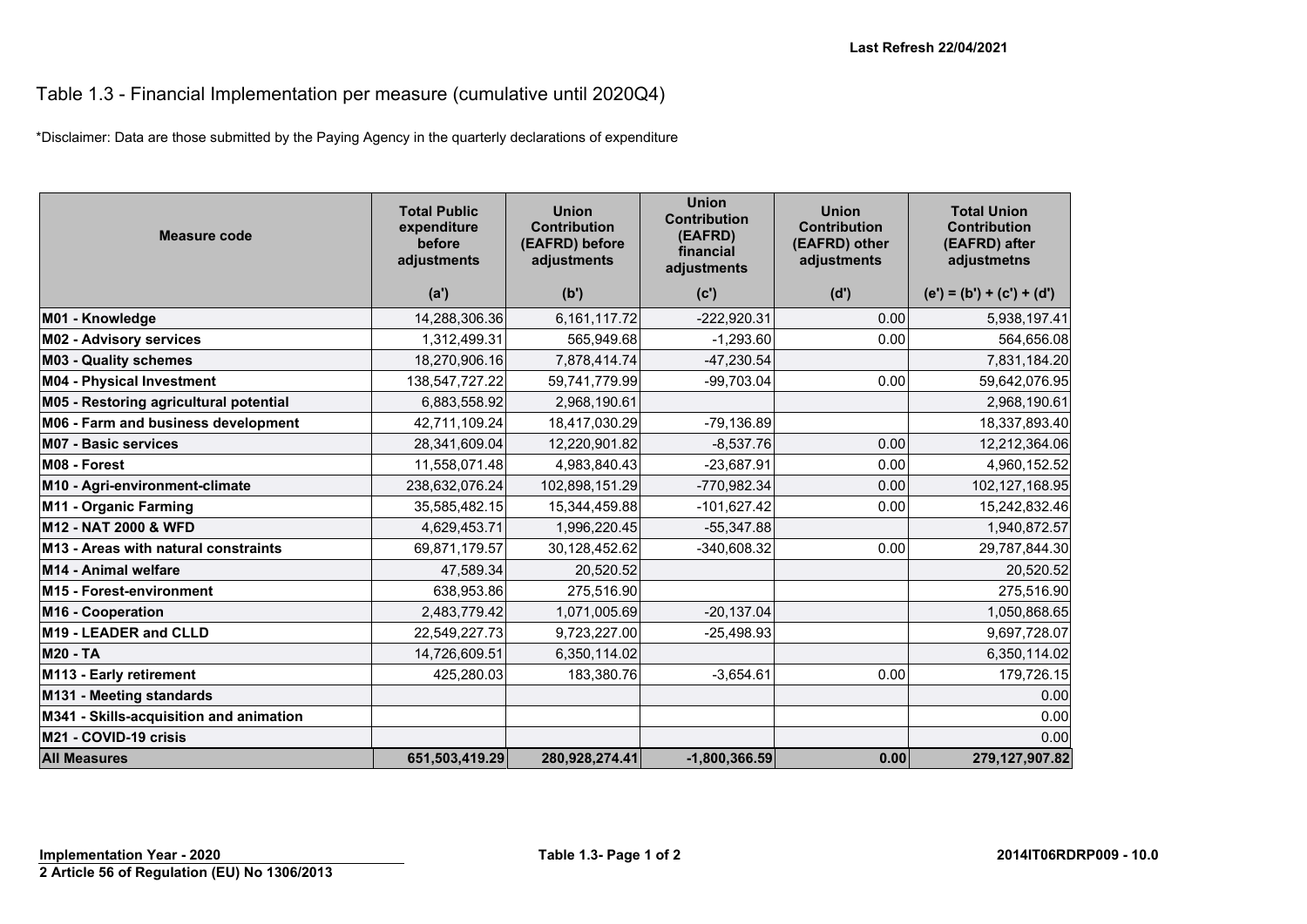#### Table 1.3 - Financial Implementation per measure (cumulative until 2020Q4)

\*Disclaimer: Data are those submitted by the Paying Agency in the quarterly declarations of expenditure

| <b>Measure code</b>                     | <b>Total Public</b><br>expenditure<br>before<br>adjustments | <b>Union</b><br><b>Contribution</b><br>(EAFRD) before<br>adjustments | <b>Union</b><br><b>Contribution</b><br>(EAFRD)<br>financial<br>adjustments | <b>Union</b><br><b>Contribution</b><br>(EAFRD) other<br>adjustments | <b>Total Union</b><br><b>Contribution</b><br>(EAFRD) after<br>adjustmetns |
|-----------------------------------------|-------------------------------------------------------------|----------------------------------------------------------------------|----------------------------------------------------------------------------|---------------------------------------------------------------------|---------------------------------------------------------------------------|
|                                         | (a')                                                        | (b')                                                                 | (c')                                                                       | (d')                                                                | $(e') = (b') + (c') + (d')$                                               |
| M01 - Knowledge                         | 14,288,306.36                                               | 6,161,117.72                                                         | $-222,920.31$                                                              | 0.00                                                                | 5,938,197.41                                                              |
| <b>M02 - Advisory services</b>          | 1,312,499.31                                                | 565,949.68                                                           | $-1,293.60$                                                                | 0.00                                                                | 564,656.08                                                                |
| <b>M03 - Quality schemes</b>            | 18,270,906.16                                               | 7,878,414.74                                                         | $-47,230.54$                                                               |                                                                     | 7,831,184.20                                                              |
| <b>M04 - Physical Investment</b>        | 138,547,727.22                                              | 59,741,779.99                                                        | $-99,703.04$                                                               | 0.00                                                                | 59,642,076.95                                                             |
| M05 - Restoring agricultural potential  | 6,883,558.92                                                | 2,968,190.61                                                         |                                                                            |                                                                     | 2,968,190.61                                                              |
| M06 - Farm and business development     | 42,711,109.24                                               | 18,417,030.29                                                        | $-79,136.89$                                                               |                                                                     | 18,337,893.40                                                             |
| <b>M07 - Basic services</b>             | 28,341,609.04                                               | 12,220,901.82                                                        | $-8,537.76$                                                                | 0.00                                                                | 12,212,364.06                                                             |
| M08 - Forest                            | 11,558,071.48                                               | 4,983,840.43                                                         | $-23,687.91$                                                               | 0.00                                                                | 4,960,152.52                                                              |
| M10 - Agri-environment-climate          | 238,632,076.24                                              | 102,898,151.29                                                       | -770,982.34                                                                | 0.00                                                                | 102,127,168.95                                                            |
| M11 - Organic Farming                   | 35,585,482.15                                               | 15,344,459.88                                                        | $-101,627.42$                                                              | 0.00                                                                | 15,242,832.46                                                             |
| M12 - NAT 2000 & WFD                    | 4,629,453.71                                                | 1,996,220.45                                                         | $-55,347.88$                                                               |                                                                     | 1,940,872.57                                                              |
| M13 - Areas with natural constraints    | 69,871,179.57                                               | 30,128,452.62                                                        | $-340,608.32$                                                              | 0.00                                                                | 29,787,844.30                                                             |
| M14 - Animal welfare                    | 47,589.34                                                   | 20,520.52                                                            |                                                                            |                                                                     | 20,520.52                                                                 |
| M15 - Forest-environment                | 638,953.86                                                  | 275,516.90                                                           |                                                                            |                                                                     | 275,516.90                                                                |
| M16 - Cooperation                       | 2,483,779.42                                                | 1,071,005.69                                                         | $-20, 137.04$                                                              |                                                                     | 1,050,868.65                                                              |
| M19 - LEADER and CLLD                   | 22,549,227.73                                               | 9,723,227.00                                                         | $-25,498.93$                                                               |                                                                     | 9,697,728.07                                                              |
| <b>M20 - TA</b>                         | 14,726,609.51                                               | 6,350,114.02                                                         |                                                                            |                                                                     | 6,350,114.02                                                              |
| M113 - Early retirement                 | 425,280.03                                                  | 183,380.76                                                           | $-3,654.61$                                                                | 0.00                                                                | 179,726.15                                                                |
| M131 - Meeting standards                |                                                             |                                                                      |                                                                            |                                                                     | 0.00                                                                      |
| M341 - Skills-acquisition and animation |                                                             |                                                                      |                                                                            |                                                                     | 0.00                                                                      |
| M21 - COVID-19 crisis                   |                                                             |                                                                      |                                                                            |                                                                     | 0.00                                                                      |
| <b>All Measures</b>                     | 651,503,419.29                                              | 280,928,274.41                                                       | $-1,800,366.59$                                                            | 0.00                                                                | 279,127,907.82                                                            |